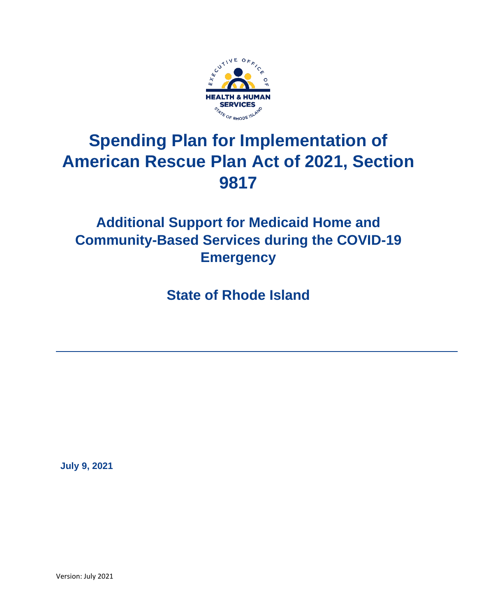

# **Spending Plan for Implementation of American Rescue Plan Act of 2021, Section 9817**

# **Additional Support for Medicaid Home and Community-Based Services during the COVID-19 Emergency**

**State of Rhode Island**

 **July 9, 2021**

Version: July 2021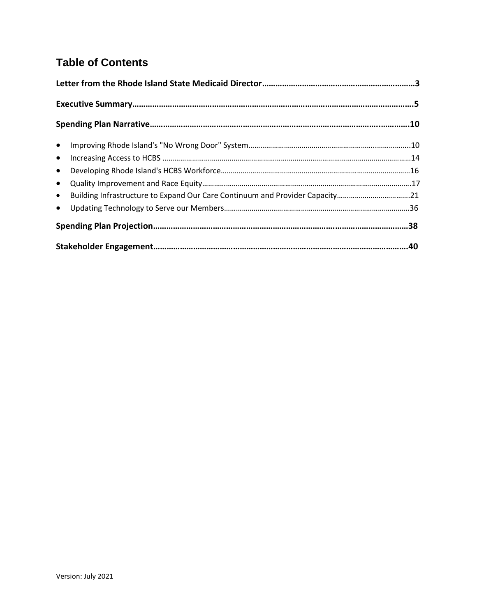# **Table of Contents**

| • Building Infrastructure to Expand Our Care Continuum and Provider Capacity21 |  |
|--------------------------------------------------------------------------------|--|
|                                                                                |  |
|                                                                                |  |
|                                                                                |  |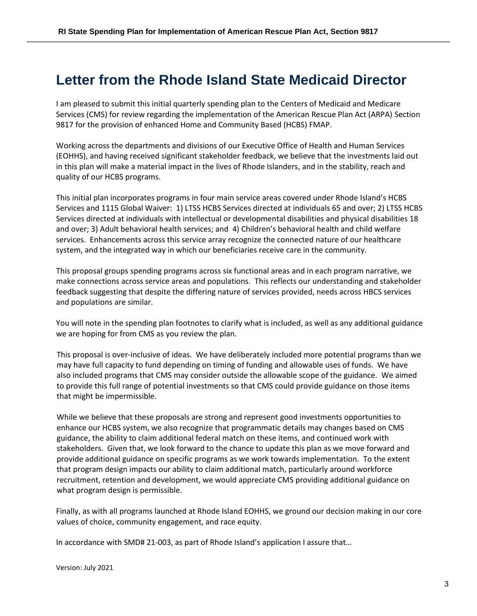# **Letter from the Rhode Island State Medicaid Director**

I am pleased to submit this initial quarterly spending plan to the Centers of Medicaid and Medicare Services (CMS) for review regarding the implementation of the American Rescue Plan Act (ARPA) Section 9817 for the provision of enhanced Home and Community Based (HCBS) FMAP.

Working across the departments and divisions of our Executive Office of Health and Human Services (EOHHS), and having received significant stakeholder feedback, we believe that the investments laid out in this plan will make a material impact in the lives of Rhode Islanders, and in the stability, reach and quality of our HCBS programs.

This initial plan incorporates programs in four main service areas covered under Rhode Island's HCBS Services and 1115 Global Waiver: 1) LTSS HCBS Services directed at individuals 65 and over; 2) LTSS HCBS Services directed at individuals with intellectual or developmental disabilities and physical disabilities 18 and over; 3) Adult behavioral health services; and 4) Children's behavioral health and child welfare services. Enhancements across this service array recognize the connected nature of our healthcare system, and the integrated way in which our beneficiaries receive care in the community.

This proposal groups spending programs across six functional areas and in each program narrative, we make connections across service areas and populations. This reflects our understanding and stakeholder feedback suggesting that despite the differing nature of services provided, needs across HBCS services and populations are similar.

You will note in the spending plan footnotes to clarify what is included, as well as any additional guidance we are hoping for from CMS as you review the plan.

This proposal is over-inclusive of ideas. We have deliberately included more potential programs than we may have full capacity to fund depending on timing of funding and allowable uses of funds. We have also included programs that CMS may consider outside the allowable scope of the guidance. We aimed to provide this full range of potential investments so that CMS could provide guidance on those items that might be impermissible.

While we believe that these proposals are strong and represent good investments opportunities to enhance our HCBS system, we also recognize that programmatic details may changes based on CMS guidance, the ability to claim additional federal match on these items, and continued work with stakeholders. Given that, we look forward to the chance to update this plan as we move forward and provide additional guidance on specific programs as we work towards implementation. To the extent that program design impacts our ability to claim additional match, particularly around workforce recruitment, retention and development, we would appreciate CMS providing additional guidance on what program design is permissible.

Finally, as with all programs launched at Rhode Island EOHHS, we ground our decision making in our core values of choice, community engagement, and race equity.

In accordance with SMD# 21-003, as part of Rhode Island's application I assure that…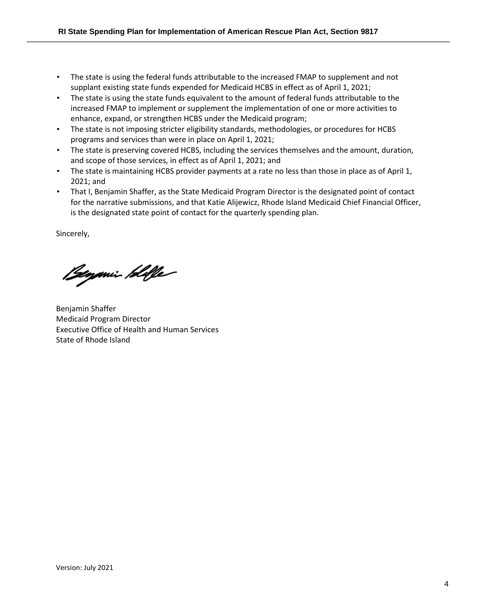- The state is using the federal funds attributable to the increased FMAP to supplement and not supplant existing state funds expended for Medicaid HCBS in effect as of April 1, 2021;
- The state is using the state funds equivalent to the amount of federal funds attributable to the increased FMAP to implement or supplement the implementation of one or more activities to enhance, expand, or strengthen HCBS under the Medicaid program;
- The state is not imposing stricter eligibility standards, methodologies, or procedures for HCBS programs and services than were in place on April 1, 2021;
- The state is preserving covered HCBS, including the services themselves and the amount, duration, and scope of those services, in effect as of April 1, 2021; and
- The state is maintaining HCBS provider payments at a rate no less than those in place as of April 1, 2021; and
- That I, Benjamin Shaffer, as the State Medicaid Program Director is the designated point of contact for the narrative submissions, and that Katie Alijewicz, Rhode Island Medicaid Chief Financial Officer, is the designated state point of contact for the quarterly spending plan.

Sincerely,

Beyonin Hille

Benjamin Shaffer Medicaid Program Director Executive Office of Health and Human Services State of Rhode Island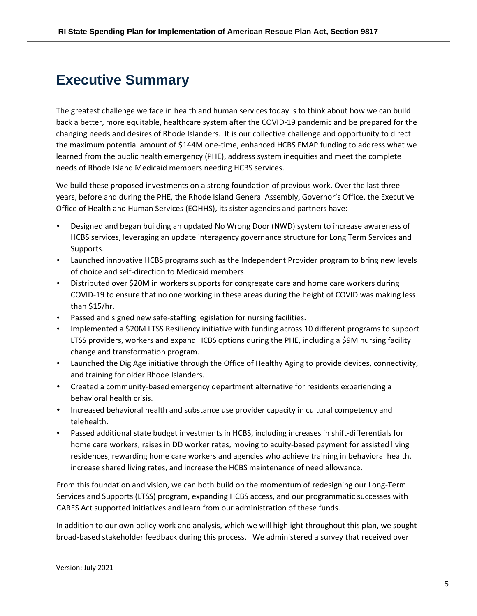# **Executive Summary**

The greatest challenge we face in health and human services today is to think about how we can build back a better, more equitable, healthcare system after the COVID-19 pandemic and be prepared for the changing needs and desires of Rhode Islanders. It is our collective challenge and opportunity to direct the maximum potential amount of \$144M one-time, enhanced HCBS FMAP funding to address what we learned from the public health emergency (PHE), address system inequities and meet the complete needs of Rhode Island Medicaid members needing HCBS services.

We build these proposed investments on a strong foundation of previous work. Over the last three years, before and during the PHE, the Rhode Island General Assembly, Governor's Office, the Executive Office of Health and Human Services (EOHHS), its sister agencies and partners have:

- Designed and began building an updated No Wrong Door (NWD) system to increase awareness of HCBS services, leveraging an update interagency governance structure for Long Term Services and Supports.
- Launched innovative HCBS programs such as the Independent Provider program to bring new levels of choice and self-direction to Medicaid members.
- Distributed over \$20M in workers supports for congregate care and home care workers during COVID-19 to ensure that no one working in these areas during the height of COVID was making less than \$15/hr.
- Passed and signed new safe-staffing legislation for nursing facilities.
- Implemented a \$20M LTSS Resiliency initiative with funding across 10 different programs to support LTSS providers, workers and expand HCBS options during the PHE, including a \$9M nursing facility change and transformation program.
- Launched the DigiAge initiative through the Office of Healthy Aging to provide devices, connectivity, and training for older Rhode Islanders.
- Created a community-based emergency department alternative for residents experiencing a behavioral health crisis.
- Increased behavioral health and substance use provider capacity in cultural competency and telehealth.
- Passed additional state budget investments in HCBS, including increases in shift-differentials for home care workers, raises in DD worker rates, moving to acuity-based payment for assisted living residences, rewarding home care workers and agencies who achieve training in behavioral health, increase shared living rates, and increase the HCBS maintenance of need allowance.

From this foundation and vision, we can both build on the momentum of redesigning our Long-Term Services and Supports (LTSS) program, expanding HCBS access, and our programmatic successes with CARES Act supported initiatives and learn from our administration of these funds.

In addition to our own policy work and analysis, which we will highlight throughout this plan, we sought broad-based stakeholder feedback during this process. We administered a survey that received over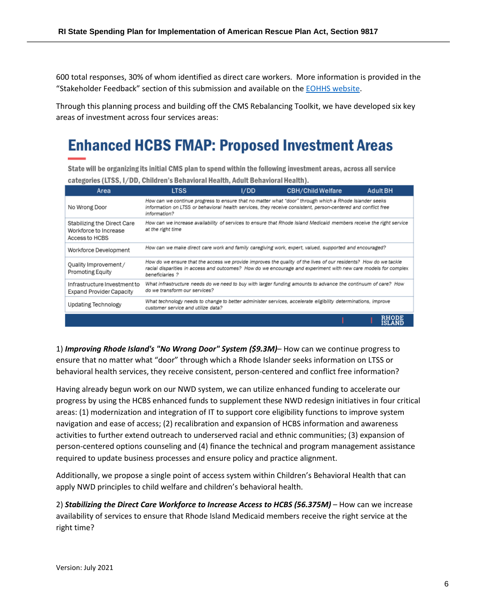600 total responses, 30% of whom identified as direct care workers. More information is provided in the "Stakeholder Feedback" section of this submission and available on th[e EOHHS website.](https://eohhs.ri.gov/initiatives/american-rescue-plan-act/home-and-community-based-services-hcbs-enhancement)

Through this planning process and building off the CMS Rebalancing Toolkit, we have developed six key areas of investment across four services areas:

# **Enhanced HCBS FMAP: Proposed Investment Areas**

State will be organizing its initial CMS plan to spend within the following investment areas, across all service categories (LTSS, I/DD, Children's Behavioral Health, Adult Behavioral Health).

| Area                                                                   | <b>LTSS</b>                                                                                                                                                                                                                                           | I/DD | <b>CBH/Child Welfare</b> | <b>Adult BH</b> |
|------------------------------------------------------------------------|-------------------------------------------------------------------------------------------------------------------------------------------------------------------------------------------------------------------------------------------------------|------|--------------------------|-----------------|
| No Wrong Door                                                          | How can we continue progress to ensure that no matter what "door" through which a Rhode Islander seeks<br>information on LTSS or behavioral health services, they receive consistent, person-centered and conflict free<br>information?               |      |                          |                 |
| Stabilizing the Direct Care<br>Workforce to Increase<br>Access to HCBS | How can we increase availability of services to ensure that Rhode Island Medicaid members receive the right service<br>at the right time                                                                                                              |      |                          |                 |
| Workforce Development                                                  | How can we make direct care work and family caregiving work, expert, valued, supported and encouraged?                                                                                                                                                |      |                          |                 |
| Quality Improvement /<br>Promoting Equity                              | How do we ensure that the access we provide improves the quality of the lives of our residents? How do we tackle<br>racial disparities in access and outcomes? How do we encourage and experiment with new care models for complex<br>beneficiaries ? |      |                          |                 |
| Infrastructure Investment to<br><b>Expand Provider Capacity</b>        | What infrastructure needs do we need to buy with larger funding amounts to advance the continuum of care? How<br>do we transform our services?                                                                                                        |      |                          |                 |
| Updating Technology                                                    | What technology needs to change to better administer services, accelerate eligibility determinations, improve<br>customer service and utilize data?                                                                                                   |      |                          |                 |
|                                                                        |                                                                                                                                                                                                                                                       |      |                          | <b>ISLAND</b>   |

1) *Improving Rhode Island's "No Wrong Door" System (\$9.3M)*– How can we continue progress to ensure that no matter what "door" through which a Rhode Islander seeks information on LTSS or behavioral health services, they receive consistent, person-centered and conflict free information?

Having already begun work on our NWD system, we can utilize enhanced funding to accelerate our progress by using the HCBS enhanced funds to supplement these NWD redesign initiatives in four critical areas: (1) modernization and integration of IT to support core eligibility functions to improve system navigation and ease of access; (2) recalibration and expansion of HCBS information and awareness activities to further extend outreach to underserved racial and ethnic communities; (3) expansion of person-centered options counseling and (4) finance the technical and program management assistance required to update business processes and ensure policy and practice alignment.

Additionally, we propose a single point of access system within Children's Behavioral Health that can apply NWD principles to child welfare and children's behavioral health.

2) *Stabilizing the Direct Care Workforce to Increase Access to HCBS (56.375M)* – How can we increase availability of services to ensure that Rhode Island Medicaid members receive the right service at the right time?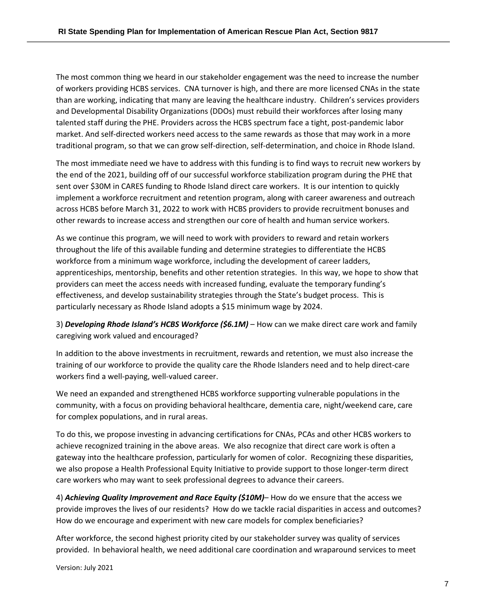The most common thing we heard in our stakeholder engagement was the need to increase the number of workers providing HCBS services. CNA turnover is high, and there are more licensed CNAs in the state than are working, indicating that many are leaving the healthcare industry. Children's services providers and Developmental Disability Organizations (DDOs) must rebuild their workforces after losing many talented staff during the PHE. Providers across the HCBS spectrum face a tight, post-pandemic labor market. And self-directed workers need access to the same rewards as those that may work in a more traditional program, so that we can grow self-direction, self-determination, and choice in Rhode Island.

The most immediate need we have to address with this funding is to find ways to recruit new workers by the end of the 2021, building off of our successful workforce stabilization program during the PHE that sent over \$30M in CARES funding to Rhode Island direct care workers. It is our intention to quickly implement a workforce recruitment and retention program, along with career awareness and outreach across HCBS before March 31, 2022 to work with HCBS providers to provide recruitment bonuses and other rewards to increase access and strengthen our core of health and human service workers.

As we continue this program, we will need to work with providers to reward and retain workers throughout the life of this available funding and determine strategies to differentiate the HCBS workforce from a minimum wage workforce, including the development of career ladders, apprenticeships, mentorship, benefits and other retention strategies. In this way, we hope to show that providers can meet the access needs with increased funding, evaluate the temporary funding's effectiveness, and develop sustainability strategies through the State's budget process. This is particularly necessary as Rhode Island adopts a \$15 minimum wage by 2024.

3) *Developing Rhode Island's HCBS Workforce (\$6.1M)* – How can we make direct care work and family caregiving work valued and encouraged?

In addition to the above investments in recruitment, rewards and retention, we must also increase the training of our workforce to provide the quality care the Rhode Islanders need and to help direct-care workers find a well-paying, well-valued career.

We need an expanded and strengthened HCBS workforce supporting vulnerable populations in the community, with a focus on providing behavioral healthcare, dementia care, night/weekend care, care for complex populations, and in rural areas.

To do this, we propose investing in advancing certifications for CNAs, PCAs and other HCBS workers to achieve recognized training in the above areas. We also recognize that direct care work is often a gateway into the healthcare profession, particularly for women of color. Recognizing these disparities, we also propose a Health Professional Equity Initiative to provide support to those longer-term direct care workers who may want to seek professional degrees to advance their careers.

4) *Achieving Quality Improvement and Race Equity (\$10M)*– How do we ensure that the access we provide improves the lives of our residents? How do we tackle racial disparities in access and outcomes? How do we encourage and experiment with new care models for complex beneficiaries?

After workforce, the second highest priority cited by our stakeholder survey was quality of services provided. In behavioral health, we need additional care coordination and wraparound services to meet

Version: July 2021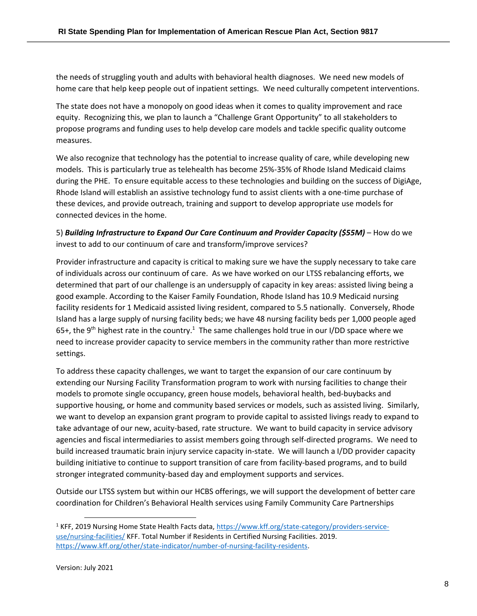the needs of struggling youth and adults with behavioral health diagnoses. We need new models of home care that help keep people out of inpatient settings. We need culturally competent interventions.

The state does not have a monopoly on good ideas when it comes to quality improvement and race equity. Recognizing this, we plan to launch a "Challenge Grant Opportunity" to all stakeholders to propose programs and funding uses to help develop care models and tackle specific quality outcome measures.

We also recognize that technology has the potential to increase quality of care, while developing new models. This is particularly true as telehealth has become 25%-35% of Rhode Island Medicaid claims during the PHE. To ensure equitable access to these technologies and building on the success of DigiAge, Rhode Island will establish an assistive technology fund to assist clients with a one-time purchase of these devices, and provide outreach, training and support to develop appropriate use models for connected devices in the home.

5) *Building Infrastructure to Expand Our Care Continuum and Provider Capacity (\$55M)* – How do we invest to add to our continuum of care and transform/improve services?

Provider infrastructure and capacity is critical to making sure we have the supply necessary to take care of individuals across our continuum of care. As we have worked on our LTSS rebalancing efforts, we determined that part of our challenge is an undersupply of capacity in key areas: assisted living being a good example. According to the Kaiser Family Foundation, Rhode Island has 10.9 Medicaid nursing facility residents for 1 Medicaid assisted living resident, compared to 5.5 nationally. Conversely, Rhode Island has a large supply of nursing facility beds; we have 48 nursing facility beds per 1,000 people aged 65+, the 9<sup>th</sup> highest rate in the country.<sup>1</sup> The same challenges hold true in our I/DD space where we need to increase provider capacity to service members in the community rather than more restrictive settings.

To address these capacity challenges, we want to target the expansion of our care continuum by extending our Nursing Facility Transformation program to work with nursing facilities to change their models to promote single occupancy, green house models, behavioral health, bed-buybacks and supportive housing, or home and community based services or models, such as assisted living. Similarly, we want to develop an expansion grant program to provide capital to assisted livings ready to expand to take advantage of our new, acuity-based, rate structure. We want to build capacity in service advisory agencies and fiscal intermediaries to assist members going through self-directed programs. We need to build increased traumatic brain injury service capacity in-state. We will launch a I/DD provider capacity building initiative to continue to support transition of care from facility-based programs, and to build stronger integrated community-based day and employment supports and services.

Outside our LTSS system but within our HCBS offerings, we will support the development of better care coordination for Children's Behavioral Health services using Family Community Care Partnerships

<sup>1</sup> KFF, 2019 Nursing Home State Health Facts data, [https://www.kff.org/state-category/providers-service](https://www.kff.org/state-category/providers-service-use/nursing-facilities/)[use/nursing-facilities/](https://www.kff.org/state-category/providers-service-use/nursing-facilities/) KFF. Total Number if Residents in Certified Nursing Facilities. 2019. [https://www.kff.org/other/state-indicator/number-of-nursing-facility-residents.](https://www.kff.org/other/state-indicator/number-of-nursing-facility-residents/?currentTimeframe=0&sortModel=%7B%22colId%22:%22Location%22,%22sort%22:%22asc%22%7D)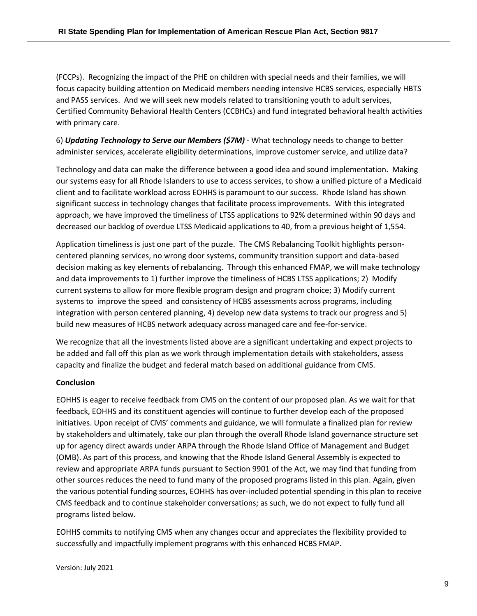(FCCPs). Recognizing the impact of the PHE on children with special needs and their families, we will focus capacity building attention on Medicaid members needing intensive HCBS services, especially HBTS and PASS services. And we will seek new models related to transitioning youth to adult services, Certified Community Behavioral Health Centers (CCBHCs) and fund integrated behavioral health activities with primary care.

6) *Updating Technology to Serve our Members (\$7M)* - What technology needs to change to better administer services, accelerate eligibility determinations, improve customer service, and utilize data?

Technology and data can make the difference between a good idea and sound implementation. Making our systems easy for all Rhode Islanders to use to access services, to show a unified picture of a Medicaid client and to facilitate workload across EOHHS is paramount to our success. Rhode Island has shown significant success in technology changes that facilitate process improvements. With this integrated approach, we have improved the timeliness of LTSS applications to 92% determined within 90 days and decreased our backlog of overdue LTSS Medicaid applications to 40, from a previous height of 1,554.

Application timeliness is just one part of the puzzle. The CMS Rebalancing Toolkit highlights personcentered planning services, no wrong door systems, community transition support and data-based decision making as key elements of rebalancing. Through this enhanced FMAP, we will make technology and data improvements to 1) further improve the timeliness of HCBS LTSS applications; 2) Modify current systems to allow for more flexible program design and program choice; 3) Modify current systems to improve the speed and consistency of HCBS assessments across programs, including integration with person centered planning, 4) develop new data systems to track our progress and 5) build new measures of HCBS network adequacy across managed care and fee-for-service.

We recognize that all the investments listed above are a significant undertaking and expect projects to be added and fall off this plan as we work through implementation details with stakeholders, assess capacity and finalize the budget and federal match based on additional guidance from CMS.

### **Conclusion**

EOHHS is eager to receive feedback from CMS on the content of our proposed plan. As we wait for that feedback, EOHHS and its constituent agencies will continue to further develop each of the proposed initiatives. Upon receipt of CMS' comments and guidance, we will formulate a finalized plan for review by stakeholders and ultimately, take our plan through the overall Rhode Island governance structure set up for agency direct awards under ARPA through the Rhode Island Office of Management and Budget (OMB). As part of this process, and knowing that the Rhode Island General Assembly is expected to review and appropriate ARPA funds pursuant to Section 9901 of the Act, we may find that funding from other sources reduces the need to fund many of the proposed programs listed in this plan. Again, given the various potential funding sources, EOHHS has over-included potential spending in this plan to receive CMS feedback and to continue stakeholder conversations; as such, we do not expect to fully fund all programs listed below.

EOHHS commits to notifying CMS when any changes occur and appreciates the flexibility provided to successfully and impactfully implement programs with this enhanced HCBS FMAP.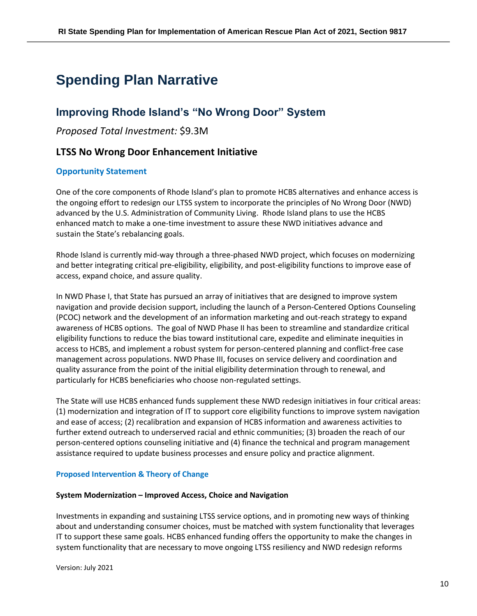# **Spending Plan Narrative**

## **Improving Rhode Island's "No Wrong Door" System**

*Proposed Total Investment:* \$9.3M

## **LTSS No Wrong Door Enhancement Initiative**

#### **Opportunity Statement**

One of the core components of Rhode Island's plan to promote HCBS alternatives and enhance access is the ongoing effort to redesign our LTSS system to incorporate the principles of No Wrong Door (NWD) advanced by the U.S. Administration of Community Living. Rhode Island plans to use the HCBS enhanced match to make a one-time investment to assure these NWD initiatives advance and sustain the State's rebalancing goals.

Rhode Island is currently mid-way through a three-phased NWD project, which focuses on modernizing and better integrating critical pre-eligibility, eligibility, and post-eligibility functions to improve ease of access, expand choice, and assure quality.

In NWD Phase I, that State has pursued an array of initiatives that are designed to improve system navigation and provide decision support, including the launch of a Person-Centered Options Counseling (PCOC) network and the development of an information marketing and out-reach strategy to expand awareness of HCBS options. The goal of NWD Phase II has been to streamline and standardize critical eligibility functions to reduce the bias toward institutional care, expedite and eliminate inequities in access to HCBS, and implement a robust system for person-centered planning and conflict-free case management across populations. NWD Phase III, focuses on service delivery and coordination and quality assurance from the point of the initial eligibility determination through to renewal, and particularly for HCBS beneficiaries who choose non-regulated settings.

The State will use HCBS enhanced funds supplement these NWD redesign initiatives in four critical areas: (1) modernization and integration of IT to support core eligibility functions to improve system navigation and ease of access; (2) recalibration and expansion of HCBS information and awareness activities to further extend outreach to underserved racial and ethnic communities; (3) broaden the reach of our person-centered options counseling initiative and (4) finance the technical and program management assistance required to update business processes and ensure policy and practice alignment.

#### **Proposed Intervention & Theory of Change**

#### **System Modernization – Improved Access, Choice and Navigation**

Investments in expanding and sustaining LTSS service options, and in promoting new ways of thinking about and understanding consumer choices, must be matched with system functionality that leverages IT to support these same goals. HCBS enhanced funding offers the opportunity to make the changes in system functionality that are necessary to move ongoing LTSS resiliency and NWD redesign reforms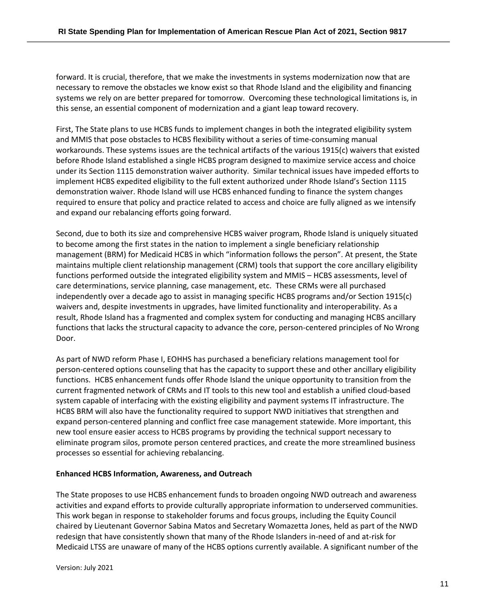forward. It is crucial, therefore, that we make the investments in systems modernization now that are necessary to remove the obstacles we know exist so that Rhode Island and the eligibility and financing systems we rely on are better prepared for tomorrow. Overcoming these technological limitations is, in this sense, an essential component of modernization and a giant leap toward recovery.

First, The State plans to use HCBS funds to implement changes in both the integrated eligibility system and MMIS that pose obstacles to HCBS flexibility without a series of time-consuming manual workarounds. These systems issues are the technical artifacts of the various 1915(c) waivers that existed before Rhode Island established a single HCBS program designed to maximize service access and choice under its Section 1115 demonstration waiver authority. Similar technical issues have impeded efforts to implement HCBS expedited eligibility to the full extent authorized under Rhode Island's Section 1115 demonstration waiver. Rhode Island will use HCBS enhanced funding to finance the system changes required to ensure that policy and practice related to access and choice are fully aligned as we intensify and expand our rebalancing efforts going forward.

Second, due to both its size and comprehensive HCBS waiver program, Rhode Island is uniquely situated to become among the first states in the nation to implement a single beneficiary relationship management (BRM) for Medicaid HCBS in which "information follows the person". At present, the State maintains multiple client relationship management (CRM) tools that support the core ancillary eligibility functions performed outside the integrated eligibility system and MMIS – HCBS assessments, level of care determinations, service planning, case management, etc. These CRMs were all purchased independently over a decade ago to assist in managing specific HCBS programs and/or Section 1915(c) waivers and, despite investments in upgrades, have limited functionality and interoperability. As a result, Rhode Island has a fragmented and complex system for conducting and managing HCBS ancillary functions that lacks the structural capacity to advance the core, person-centered principles of No Wrong Door.

As part of NWD reform Phase I, EOHHS has purchased a beneficiary relations management tool for person-centered options counseling that has the capacity to support these and other ancillary eligibility functions. HCBS enhancement funds offer Rhode Island the unique opportunity to transition from the current fragmented network of CRMs and IT tools to this new tool and establish a unified cloud-based system capable of interfacing with the existing eligibility and payment systems IT infrastructure. The HCBS BRM will also have the functionality required to support NWD initiatives that strengthen and expand person-centered planning and conflict free case management statewide. More important, this new tool ensure easier access to HCBS programs by providing the technical support necessary to eliminate program silos, promote person centered practices, and create the more streamlined business processes so essential for achieving rebalancing.

#### **Enhanced HCBS Information, Awareness, and Outreach**

The State proposes to use HCBS enhancement funds to broaden ongoing NWD outreach and awareness activities and expand efforts to provide culturally appropriate information to underserved communities. This work began in response to stakeholder forums and focus groups, including the Equity Council chaired by Lieutenant Governor Sabina Matos and Secretary Womazetta Jones, held as part of the NWD redesign that have consistently shown that many of the Rhode Islanders in-need of and at-risk for Medicaid LTSS are unaware of many of the HCBS options currently available. A significant number of the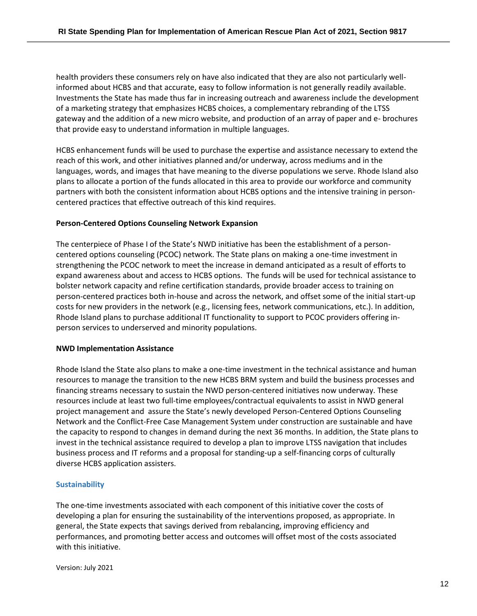health providers these consumers rely on have also indicated that they are also not particularly wellinformed about HCBS and that accurate, easy to follow information is not generally readily available. Investments the State has made thus far in increasing outreach and awareness include the development of a marketing strategy that emphasizes HCBS choices, a complementary rebranding of the LTSS gateway and the addition of a new micro website, and production of an array of paper and e- brochures that provide easy to understand information in multiple languages.

HCBS enhancement funds will be used to purchase the expertise and assistance necessary to extend the reach of this work, and other initiatives planned and/or underway, across mediums and in the languages, words, and images that have meaning to the diverse populations we serve. Rhode Island also plans to allocate a portion of the funds allocated in this area to provide our workforce and community partners with both the consistent information about HCBS options and the intensive training in personcentered practices that effective outreach of this kind requires.

#### **Person-Centered Options Counseling Network Expansion**

The centerpiece of Phase I of the State's NWD initiative has been the establishment of a personcentered options counseling (PCOC) network. The State plans on making a one-time investment in strengthening the PCOC network to meet the increase in demand anticipated as a result of efforts to expand awareness about and access to HCBS options. The funds will be used for technical assistance to bolster network capacity and refine certification standards, provide broader access to training on person-centered practices both in-house and across the network, and offset some of the initial start-up costs for new providers in the network (e.g., licensing fees, network communications, etc.). In addition, Rhode Island plans to purchase additional IT functionality to support to PCOC providers offering inperson services to underserved and minority populations.

#### **NWD Implementation Assistance**

Rhode Island the State also plans to make a one-time investment in the technical assistance and human resources to manage the transition to the new HCBS BRM system and build the business processes and financing streams necessary to sustain the NWD person-centered initiatives now underway. These resources include at least two full-time employees/contractual equivalents to assist in NWD general project management and assure the State's newly developed Person-Centered Options Counseling Network and the Conflict-Free Case Management System under construction are sustainable and have the capacity to respond to changes in demand during the next 36 months. In addition, the State plans to invest in the technical assistance required to develop a plan to improve LTSS navigation that includes business process and IT reforms and a proposal for standing-up a self-financing corps of culturally diverse HCBS application assisters.

#### **Sustainability**

The one-time investments associated with each component of this initiative cover the costs of developing a plan for ensuring the sustainability of the interventions proposed, as appropriate. In general, the State expects that savings derived from rebalancing, improving efficiency and performances, and promoting better access and outcomes will offset most of the costs associated with this initiative.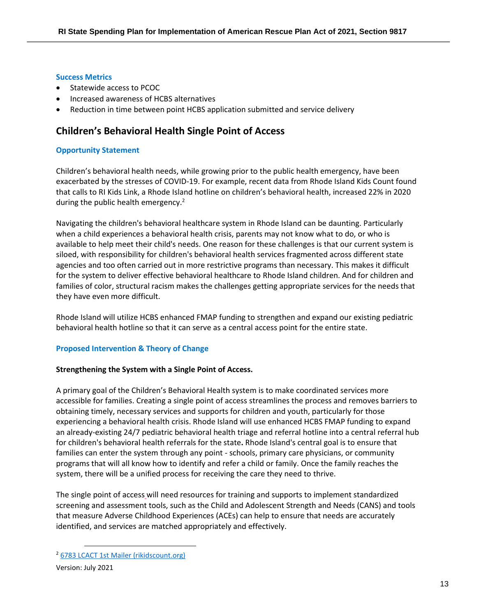#### **Success Metrics**

- Statewide access to PCOC
- Increased awareness of HCBS alternatives
- Reduction in time between point HCBS application submitted and service delivery

## **Children's Behavioral Health Single Point of Access**

#### **Opportunity Statement**

Children's behavioral health needs, while growing prior to the public health emergency, have been exacerbated by the stresses of COVID-19. For example, recent data from Rhode Island Kids Count found that calls to RI Kids Link, a Rhode Island hotline on children's behavioral health, increased 22% in 2020 during the public health emergency.<sup>2</sup>

Navigating the children's behavioral healthcare system in Rhode Island can be daunting. Particularly when a child experiences a behavioral health crisis, parents may not know what to do, or who is available to help meet their child's needs. One reason for these challenges is that our current system is siloed, with responsibility for children's behavioral health services fragmented across different state agencies and too often carried out in more restrictive programs than necessary. This makes it difficult for the system to deliver effective behavioral healthcare to Rhode Island children. And for children and families of color, structural racism makes the challenges getting appropriate services for the needs that they have even more difficult.

Rhode Island will utilize HCBS enhanced FMAP funding to strengthen and expand our existing pediatric behavioral health hotline so that it can serve as a central access point for the entire state.

#### **Proposed Intervention & Theory of Change**

#### **Strengthening the System with a Single Point of Access.**

A primary goal of the Children's Behavioral Health system is to make coordinated services more accessible for families. Creating a single point of access streamlines the process and removes barriers to obtaining timely, necessary services and supports for children and youth, particularly for those experiencing a behavioral health crisis. Rhode Island will use enhanced HCBS FMAP funding to expand an already-existing 24/7 pediatric behavioral health triage and referral hotline into a central referral hub for children's behavioral health referrals for the state**.** Rhode Island's central goal is to ensure that families can enter the system through any point - schools, primary care physicians, or community programs that will all know how to identify and refer a child or family. Once the family reaches the system, there will be a unified process for receiving the care they need to thrive.

The single point of access will need resources for training and supports to implement standardized screening and assessment tools, such as the Child and Adolescent Strength and Needs (CANS) and tools that measure Adverse Childhood Experiences (ACEs) can help to ensure that needs are accurately identified, and services are matched appropriately and effectively.

#### Version: July 2021

<sup>2</sup> [6783 LCACT 1st Mailer \(rikidscount.org\)](https://www.rikidscount.org/Portals/0/Uploads/Documents/Factbook%202021/Children)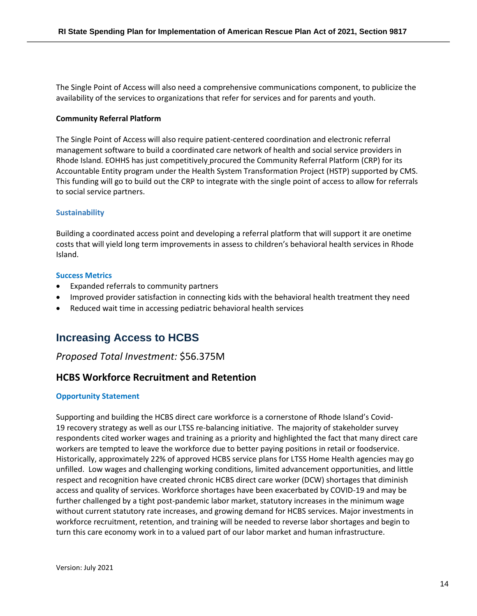The Single Point of Access will also need a comprehensive communications component, to publicize the availability of the services to organizations that refer for services and for parents and youth.

#### **Community Referral Platform**

The Single Point of Access will also require patient-centered coordination and electronic referral management software to build a coordinated care network of health and social service providers in Rhode Island. EOHHS has just competitively procured the Community Referral Platform (CRP) for its Accountable Entity program under the Health System Transformation Project (HSTP) supported by CMS. This funding will go to build out the CRP to integrate with the single point of access to allow for referrals to social service partners.

#### **Sustainability**

Building a coordinated access point and developing a referral platform that will support it are onetime costs that will yield long term improvements in assess to children's behavioral health services in Rhode Island.

#### **Success Metrics**

- Expanded referrals to community partners
- Improved provider satisfaction in connecting kids with the behavioral health treatment they need
- Reduced wait time in accessing pediatric behavioral health services

## **Increasing Access to HCBS**

#### *Proposed Total Investment:* \$56.375M

## **HCBS Workforce Recruitment and Retention**

#### **Opportunity Statement**

Supporting and building the HCBS direct care workforce is a cornerstone of Rhode Island's Covid-19 recovery strategy as well as our LTSS re-balancing initiative. The majority of stakeholder survey respondents cited worker wages and training as a priority and highlighted the fact that many direct care workers are tempted to leave the workforce due to better paying positions in retail or foodservice. Historically, approximately 22% of approved HCBS service plans for LTSS Home Health agencies may go unfilled. Low wages and challenging working conditions, limited advancement opportunities, and little respect and recognition have created chronic HCBS direct care worker (DCW) shortages that diminish access and quality of services. Workforce shortages have been exacerbated by COVID-19 and may be further challenged by a tight post-pandemic labor market, statutory increases in the minimum wage without current statutory rate increases, and growing demand for HCBS services. Major investments in workforce recruitment, retention, and training will be needed to reverse labor shortages and begin to turn this care economy work in to a valued part of our labor market and human infrastructure.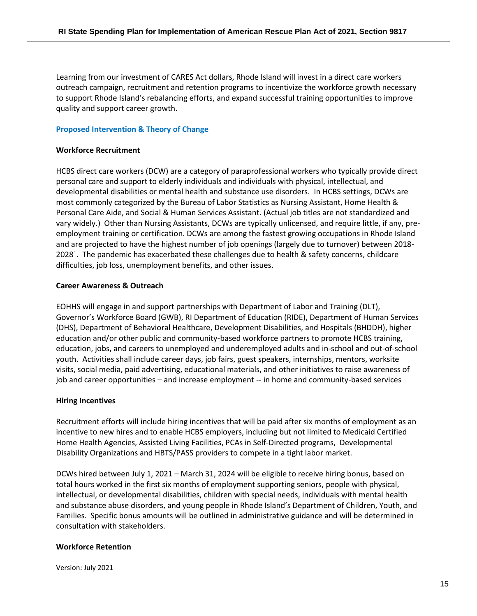Learning from our investment of CARES Act dollars, Rhode Island will invest in a direct care workers outreach campaign, recruitment and retention programs to incentivize the workforce growth necessary to support Rhode Island's rebalancing efforts, and expand successful training opportunities to improve quality and support career growth.

#### **Proposed Intervention & Theory of Change**

#### **Workforce Recruitment**

HCBS direct care workers (DCW) are a category of paraprofessional workers who typically provide direct personal care and support to elderly individuals and individuals with physical, intellectual, and developmental disabilities or mental health and substance use disorders. In HCBS settings, DCWs are most commonly categorized by the Bureau of Labor Statistics as Nursing Assistant, Home Health & Personal Care Aide, and Social & Human Services Assistant. (Actual job titles are not standardized and vary widely.) Other than Nursing Assistants, DCWs are typically unlicensed, and require little, if any, preemployment training or certification. DCWs are among the fastest growing occupations in Rhode Island and are projected to have the highest number of job openings (largely due to turnover) between 2018- 2028<sup>1</sup>. The pandemic has exacerbated these challenges due to health & safety concerns, childcare difficulties, job loss, unemployment benefits, and other issues.

#### **Career Awareness & Outreach**

EOHHS will engage in and support partnerships with Department of Labor and Training (DLT), Governor's Workforce Board (GWB), RI Department of Education (RIDE), Department of Human Services (DHS), Department of Behavioral Healthcare, Development Disabilities, and Hospitals (BHDDH), higher education and/or other public and community-based workforce partners to promote HCBS training, education, jobs, and careers to unemployed and underemployed adults and in-school and out-of-school youth. Activities shall include career days, job fairs, guest speakers, internships, mentors, worksite visits, social media, paid advertising, educational materials, and other initiatives to raise awareness of job and career opportunities – and increase employment -- in home and community-based services

#### **Hiring Incentives**

Recruitment efforts will include hiring incentives that will be paid after six months of employment as an incentive to new hires and to enable HCBS employers, including but not limited to Medicaid Certified Home Health Agencies, Assisted Living Facilities, PCAs in Self-Directed programs, Developmental Disability Organizations and HBTS/PASS providers to compete in a tight labor market.

DCWs hired between July 1, 2021 – March 31, 2024 will be eligible to receive hiring bonus, based on total hours worked in the first six months of employment supporting seniors, people with physical, intellectual, or developmental disabilities, children with special needs, individuals with mental health and substance abuse disorders, and young people in Rhode Island's Department of Children, Youth, and Families. Specific bonus amounts will be outlined in administrative guidance and will be determined in consultation with stakeholders.

#### **Workforce Retention**

Version: July 2021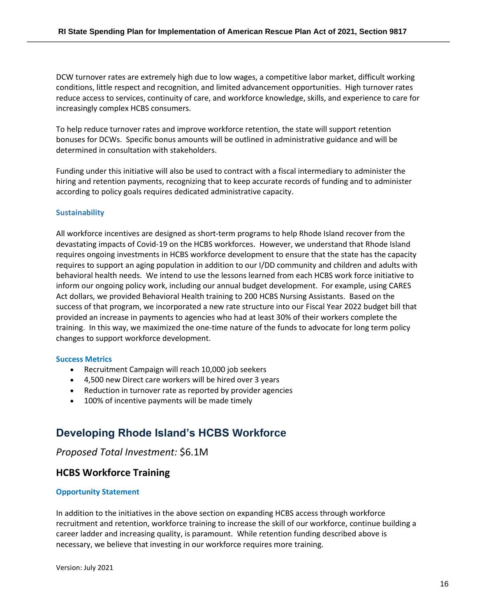DCW turnover rates are extremely high due to low wages, a competitive labor market, difficult working conditions, little respect and recognition, and limited advancement opportunities. High turnover rates reduce access to services, continuity of care, and workforce knowledge, skills, and experience to care for increasingly complex HCBS consumers.

To help reduce turnover rates and improve workforce retention, the state will support retention bonuses for DCWs. Specific bonus amounts will be outlined in administrative guidance and will be determined in consultation with stakeholders.

Funding under this initiative will also be used to contract with a fiscal intermediary to administer the hiring and retention payments, recognizing that to keep accurate records of funding and to administer according to policy goals requires dedicated administrative capacity.

#### **Sustainability**

All workforce incentives are designed as short-term programs to help Rhode Island recover from the devastating impacts of Covid-19 on the HCBS workforces. However, we understand that Rhode Island requires ongoing investments in HCBS workforce development to ensure that the state has the capacity requires to support an aging population in addition to our I/DD community and children and adults with behavioral health needs. We intend to use the lessons learned from each HCBS work force initiative to inform our ongoing policy work, including our annual budget development. For example, using CARES Act dollars, we provided Behavioral Health training to 200 HCBS Nursing Assistants. Based on the success of that program, we incorporated a new rate structure into our Fiscal Year 2022 budget bill that provided an increase in payments to agencies who had at least 30% of their workers complete the training. In this way, we maximized the one-time nature of the funds to advocate for long term policy changes to support workforce development.

#### **Success Metrics**

- Recruitment Campaign will reach 10,000 job seekers
- 4,500 new Direct care workers will be hired over 3 years
- Reduction in turnover rate as reported by provider agencies
- 100% of incentive payments will be made timely

## **Developing Rhode Island's HCBS Workforce**

### *Proposed Total Investment:* \$6.1M

### **HCBS Workforce Training**

#### **Opportunity Statement**

In addition to the initiatives in the above section on expanding HCBS access through workforce recruitment and retention, workforce training to increase the skill of our workforce, continue building a career ladder and increasing quality, is paramount. While retention funding described above is necessary, we believe that investing in our workforce requires more training.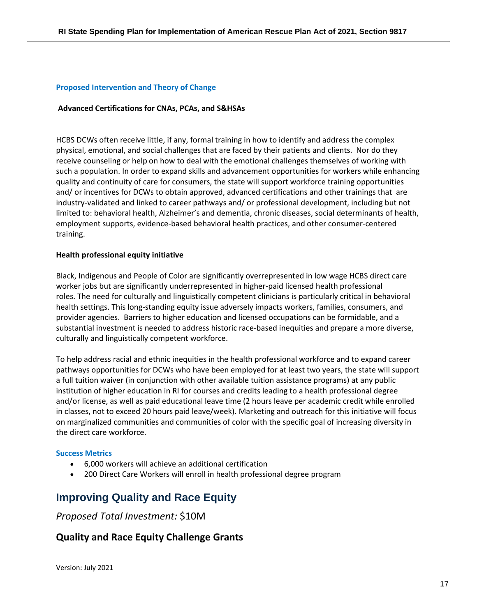#### **Proposed Intervention and Theory of Change**

#### **Advanced Certifications for CNAs, PCAs, and S&HSAs**

HCBS DCWs often receive little, if any, formal training in how to identify and address the complex physical, emotional, and social challenges that are faced by their patients and clients. Nor do they receive counseling or help on how to deal with the emotional challenges themselves of working with such a population. In order to expand skills and advancement opportunities for workers while enhancing quality and continuity of care for consumers, the state will support workforce training opportunities and/ or incentives for DCWs to obtain approved, advanced certifications and other trainings that are industry-validated and linked to career pathways and/ or professional development, including but not limited to: behavioral health, Alzheimer's and dementia, chronic diseases, social determinants of health, employment supports, evidence-based behavioral health practices, and other consumer-centered training.

#### **Health professional equity initiative**

Black, Indigenous and People of Color are significantly overrepresented in low wage HCBS direct care worker jobs but are significantly underrepresented in higher-paid licensed health professional roles. The need for culturally and linguistically competent clinicians is particularly critical in behavioral health settings. This long-standing equity issue adversely impacts workers, families, consumers, and provider agencies. Barriers to higher education and licensed occupations can be formidable, and a substantial investment is needed to address historic race-based inequities and prepare a more diverse, culturally and linguistically competent workforce.

To help address racial and ethnic inequities in the health professional workforce and to expand career pathways opportunities for DCWs who have been employed for at least two years, the state will support a full tuition waiver (in conjunction with other available tuition assistance programs) at any public institution of higher education in RI for courses and credits leading to a health professional degree and/or license, as well as paid educational leave time (2 hours leave per academic credit while enrolled in classes, not to exceed 20 hours paid leave/week). Marketing and outreach for this initiative will focus on marginalized communities and communities of color with the specific goal of increasing diversity in the direct care workforce.

#### **Success Metrics**

- 6,000 workers will achieve an additional certification
- 200 Direct Care Workers will enroll in health professional degree program

## **Improving Quality and Race Equity**

## *Proposed Total Investment:* \$10M

## **Quality and Race Equity Challenge Grants**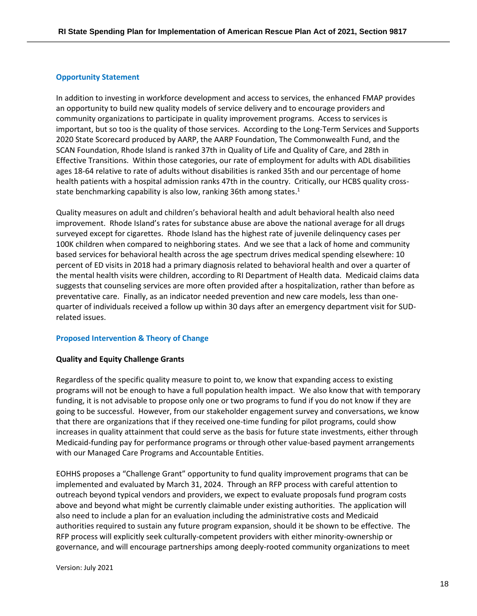#### **Opportunity Statement**

In addition to investing in workforce development and access to services, the enhanced FMAP provides an opportunity to build new quality models of service delivery and to encourage providers and community organizations to participate in quality improvement programs. Access to services is important, but so too is the quality of those services. According to the Long-Term Services and Supports 2020 State Scorecard produced by AARP, the AARP Foundation, The Commonwealth Fund, and the SCAN Foundation, Rhode Island is ranked 37th in Quality of Life and Quality of Care, and 28th in Effective Transitions. Within those categories, our rate of employment for adults with ADL disabilities ages 18-64 relative to rate of adults without disabilities is ranked 35th and our percentage of home health patients with a hospital admission ranks 47th in the country. Critically, our HCBS quality crossstate benchmarking capability is also low, ranking 36th among states.<sup>1</sup>

Quality measures on adult and children's behavioral health and adult behavioral health also need improvement. Rhode Island's rates for substance abuse are above the national average for all drugs surveyed except for cigarettes. Rhode Island has the highest rate of juvenile delinquency cases per 100K children when compared to neighboring states. And we see that a lack of home and community based services for behavioral health across the age spectrum drives medical spending elsewhere: 10 percent of ED visits in 2018 had a primary diagnosis related to behavioral health and over a quarter of the mental health visits were children, according to RI Department of Health data. Medicaid claims data suggests that counseling services are more often provided after a hospitalization, rather than before as preventative care. Finally, as an indicator needed prevention and new care models, less than onequarter of individuals received a follow up within 30 days after an emergency department visit for SUDrelated issues.

#### **Proposed Intervention & Theory of Change**

#### **Quality and Equity Challenge Grants**

Regardless of the specific quality measure to point to, we know that expanding access to existing programs will not be enough to have a full population health impact. We also know that with temporary funding, it is not advisable to propose only one or two programs to fund if you do not know if they are going to be successful. However, from our stakeholder engagement survey and conversations, we know that there are organizations that if they received one-time funding for pilot programs, could show increases in quality attainment that could serve as the basis for future state investments, either through Medicaid-funding pay for performance programs or through other value-based payment arrangements with our Managed Care Programs and Accountable Entities.

EOHHS proposes a "Challenge Grant" opportunity to fund quality improvement programs that can be implemented and evaluated by March 31, 2024. Through an RFP process with careful attention to outreach beyond typical vendors and providers, we expect to evaluate proposals fund program costs above and beyond what might be currently claimable under existing authorities. The application will also need to include a plan for an evaluation including the administrative costs and Medicaid authorities required to sustain any future program expansion, should it be shown to be effective. The RFP process will explicitly seek culturally-competent providers with either minority-ownership or governance, and will encourage partnerships among deeply-rooted community organizations to meet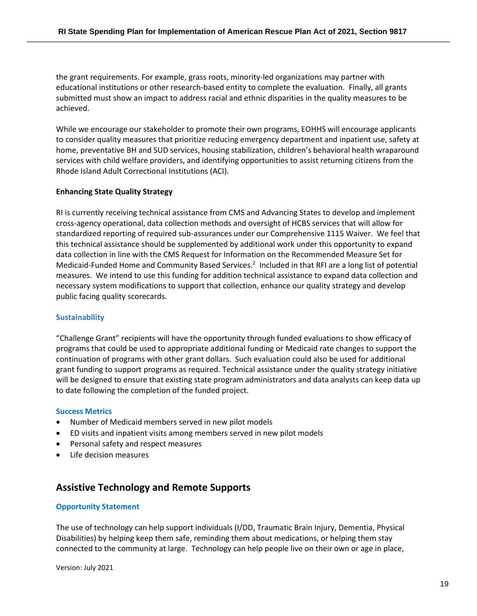the grant requirements. For example, grass roots, minority-led organizations may partner with educational institutions or other research-based entity to complete the evaluation. Finally, all grants submitted must show an impact to address racial and ethnic disparities in the quality measures to be achieved.

While we encourage our stakeholder to promote their own programs, EOHHS will encourage applicants to consider quality measures that prioritize reducing emergency department and inpatient use, safety at home, preventative BH and SUD services, housing stabilization, children's behavioral health wraparound services with child welfare providers, and identifying opportunities to assist returning citizens from the Rhode Island Adult Correctional Institutions (ACI).

#### **Enhancing State Quality Strategy**

RI is currently receiving technical assistance from CMS and Advancing States to develop and implement cross-agency operational, data collection methods and oversight of HCBS services that will allow for standardized reporting of required sub-assurances under our Comprehensive 1115 Waiver. We feel that this technical assistance should be supplemented by additional work under this opportunity to expand data collection in line with the CMS Request for Information on the Recommended Measure Set for Medicaid-Funded Home and Community Based Services.<sup>2</sup> Included in that RFI are a long list of potential measures. We intend to use this funding for addition technical assistance to expand data collection and necessary system modifications to support that collection, enhance our quality strategy and develop public facing quality scorecards.

#### **Sustainability**

"Challenge Grant" recipients will have the opportunity through funded evaluations to show efficacy of programs that could be used to appropriate additional funding or Medicaid rate changes to support the continuation of programs with other grant dollars. Such evaluation could also be used for additional grant funding to support programs as required. Technical assistance under the quality strategy initiative will be designed to ensure that existing state program administrators and data analysts can keep data up to date following the completion of the funded project.

#### **Success Metrics**

- Number of Medicaid members served in new pilot models
- ED visits and inpatient visits among members served in new pilot models
- Personal safety and respect measures
- Life decision measures

## **Assistive Technology and Remote Supports**

#### **Opportunity Statement**

The use of technology can help support individuals (I/DD, Traumatic Brain Injury, Dementia, Physical Disabilities) by helping keep them safe, reminding them about medications, or helping them stay connected to the community at large. Technology can help people live on their own or age in place,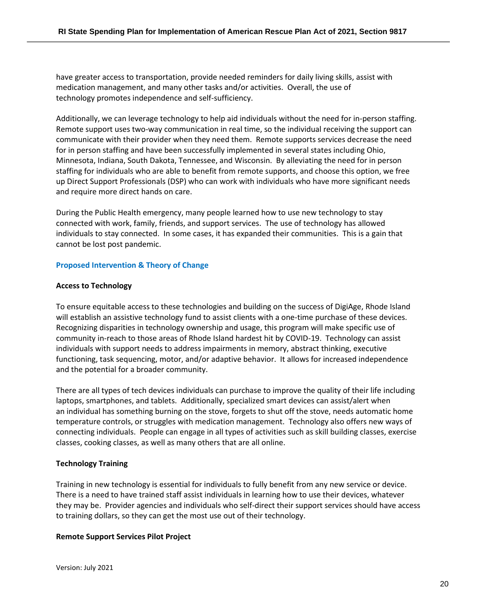have greater access to transportation, provide needed reminders for daily living skills, assist with medication management, and many other tasks and/or activities. Overall, the use of technology promotes independence and self-sufficiency.

Additionally, we can leverage technology to help aid individuals without the need for in-person staffing. Remote support uses two-way communication in real time, so the individual receiving the support can communicate with their provider when they need them. Remote supports services decrease the need for in person staffing and have been successfully implemented in several states including Ohio, Minnesota, Indiana, South Dakota, Tennessee, and Wisconsin. By alleviating the need for in person staffing for individuals who are able to benefit from remote supports, and choose this option, we free up Direct Support Professionals (DSP) who can work with individuals who have more significant needs and require more direct hands on care.

During the Public Health emergency, many people learned how to use new technology to stay connected with work, family, friends, and support services. The use of technology has allowed individuals to stay connected. In some cases, it has expanded their communities. This is a gain that cannot be lost post pandemic.

#### **Proposed Intervention & Theory of Change**

#### **Access to Technology**

To ensure equitable access to these technologies and building on the success of DigiAge, Rhode Island will establish an assistive technology fund to assist clients with a one-time purchase of these devices. Recognizing disparities in technology ownership and usage, this program will make specific use of community in-reach to those areas of Rhode Island hardest hit by COVID-19. Technology can assist individuals with support needs to address impairments in memory, abstract thinking, executive functioning, task sequencing, motor, and/or adaptive behavior. It allows for increased independence and the potential for a broader community.

There are all types of tech devices individuals can purchase to improve the quality of their life including laptops, smartphones, and tablets. Additionally, specialized smart devices can assist/alert when an individual has something burning on the stove, forgets to shut off the stove, needs automatic home temperature controls, or struggles with medication management. Technology also offers new ways of connecting individuals. People can engage in all types of activities such as skill building classes, exercise classes, cooking classes, as well as many others that are all online.

#### **Technology Training**

Training in new technology is essential for individuals to fully benefit from any new service or device. There is a need to have trained staff assist individuals in learning how to use their devices, whatever they may be. Provider agencies and individuals who self-direct their support services should have access to training dollars, so they can get the most use out of their technology.

#### **Remote Support Services Pilot Project**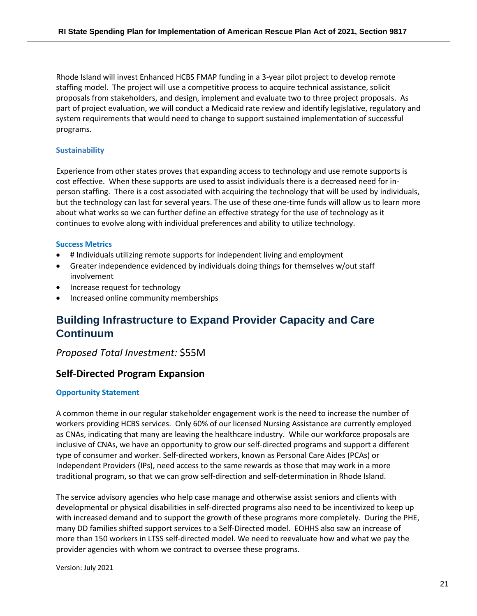Rhode Island will invest Enhanced HCBS FMAP funding in a 3-year pilot project to develop remote staffing model. The project will use a competitive process to acquire technical assistance, solicit proposals from stakeholders, and design, implement and evaluate two to three project proposals. As part of project evaluation, we will conduct a Medicaid rate review and identify legislative, regulatory and system requirements that would need to change to support sustained implementation of successful programs.

#### **Sustainability**

Experience from other states proves that expanding access to technology and use remote supports is cost effective. When these supports are used to assist individuals there is a decreased need for inperson staffing. There is a cost associated with acquiring the technology that will be used by individuals, but the technology can last for several years. The use of these one-time funds will allow us to learn more about what works so we can further define an effective strategy for the use of technology as it continues to evolve along with individual preferences and ability to utilize technology.

#### **Success Metrics**

- # Individuals utilizing remote supports for independent living and employment
- Greater independence evidenced by individuals doing things for themselves w/out staff involvement
- Increase request for technology
- Increased online community memberships

## **Building Infrastructure to Expand Provider Capacity and Care Continuum**

### *Proposed Total Investment:* \$55M

## **Self-Directed Program Expansion**

#### **Opportunity Statement**

A common theme in our regular stakeholder engagement work is the need to increase the number of workers providing HCBS services. Only 60% of our licensed Nursing Assistance are currently employed as CNAs, indicating that many are leaving the healthcare industry. While our workforce proposals are inclusive of CNAs, we have an opportunity to grow our self-directed programs and support a different type of consumer and worker. Self-directed workers, known as Personal Care Aides (PCAs) or Independent Providers (IPs), need access to the same rewards as those that may work in a more traditional program, so that we can grow self-direction and self-determination in Rhode Island.

The service advisory agencies who help case manage and otherwise assist seniors and clients with developmental or physical disabilities in self-directed programs also need to be incentivized to keep up with increased demand and to support the growth of these programs more completely. During the PHE, many DD families shifted support services to a Self-Directed model. EOHHS also saw an increase of more than 150 workers in LTSS self-directed model. We need to reevaluate how and what we pay the provider agencies with whom we contract to oversee these programs.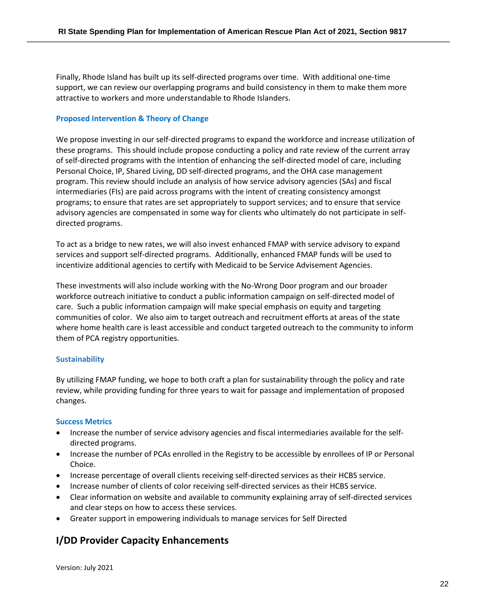Finally, Rhode Island has built up its self-directed programs over time. With additional one-time support, we can review our overlapping programs and build consistency in them to make them more attractive to workers and more understandable to Rhode Islanders.

#### **Proposed Intervention & Theory of Change**

We propose investing in our self-directed programs to expand the workforce and increase utilization of these programs. This should include propose conducting a policy and rate review of the current array of self-directed programs with the intention of enhancing the self-directed model of care, including Personal Choice, IP, Shared Living, DD self-directed programs, and the OHA case management program. This review should include an analysis of how service advisory agencies (SAs) and fiscal intermediaries (FIs) are paid across programs with the intent of creating consistency amongst programs; to ensure that rates are set appropriately to support services; and to ensure that service advisory agencies are compensated in some way for clients who ultimately do not participate in selfdirected programs.

To act as a bridge to new rates, we will also invest enhanced FMAP with service advisory to expand services and support self-directed programs. Additionally, enhanced FMAP funds will be used to incentivize additional agencies to certify with Medicaid to be Service Advisement Agencies.

These investments will also include working with the No-Wrong Door program and our broader workforce outreach initiative to conduct a public information campaign on self-directed model of care. Such a public information campaign will make special emphasis on equity and targeting communities of color. We also aim to target outreach and recruitment efforts at areas of the state where home health care is least accessible and conduct targeted outreach to the community to inform them of PCA registry opportunities.

#### **Sustainability**

By utilizing FMAP funding, we hope to both craft a plan for sustainability through the policy and rate review, while providing funding for three years to wait for passage and implementation of proposed changes.

#### **Success Metrics**

- Increase the number of service advisory agencies and fiscal intermediaries available for the selfdirected programs.
- Increase the number of PCAs enrolled in the Registry to be accessible by enrollees of IP or Personal Choice.
- Increase percentage of overall clients receiving self-directed services as their HCBS service.
- Increase number of clients of color receiving self-directed services as their HCBS service.
- Clear information on website and available to community explaining array of self-directed services and clear steps on how to access these services.
- Greater support in empowering individuals to manage services for Self Directed

## **I/DD Provider Capacity Enhancements**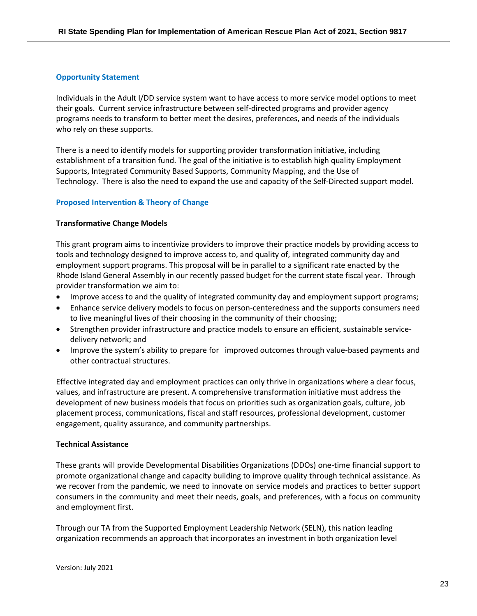#### **Opportunity Statement**

Individuals in the Adult I/DD service system want to have access to more service model options to meet their goals. Current service infrastructure between self-directed programs and provider agency programs needs to transform to better meet the desires, preferences, and needs of the individuals who rely on these supports.

There is a need to identify models for supporting provider transformation initiative, including establishment of a transition fund. The goal of the initiative is to establish high quality Employment Supports, Integrated Community Based Supports, Community Mapping, and the Use of Technology. There is also the need to expand the use and capacity of the Self-Directed support model.

#### **Proposed Intervention & Theory of Change**

#### **Transformative Change Models**

This grant program aims to incentivize providers to improve their practice models by providing access to tools and technology designed to improve access to, and quality of, integrated community day and employment support programs. This proposal will be in parallel to a significant rate enacted by the Rhode Island General Assembly in our recently passed budget for the current state fiscal year. Through provider transformation we aim to:

- Improve access to and the quality of integrated community day and employment support programs;
- Enhance service delivery models to focus on person-centeredness and the supports consumers need to live meaningful lives of their choosing in the community of their choosing;
- Strengthen provider infrastructure and practice models to ensure an efficient, sustainable servicedelivery network; and
- Improve the system's ability to prepare for improved outcomes through value-based payments and other contractual structures.

Effective integrated day and employment practices can only thrive in organizations where a clear focus, values, and infrastructure are present. A comprehensive transformation initiative must address the development of new business models that focus on priorities such as organization goals, culture, job placement process, communications, fiscal and staff resources, professional development, customer engagement, quality assurance, and community partnerships.

#### **Technical Assistance**

These grants will provide Developmental Disabilities Organizations (DDOs) one-time financial support to promote organizational change and capacity building to improve quality through technical assistance. As we recover from the pandemic, we need to innovate on service models and practices to better support consumers in the community and meet their needs, goals, and preferences, with a focus on community and employment first.

Through our TA from the Supported Employment Leadership Network (SELN), this nation leading organization recommends an approach that incorporates an investment in both organization level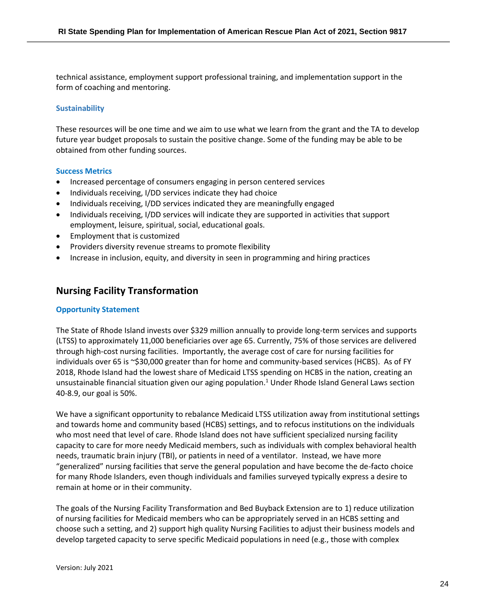technical assistance, employment support professional training, and implementation support in the form of coaching and mentoring.

#### **Sustainability**

These resources will be one time and we aim to use what we learn from the grant and the TA to develop future year budget proposals to sustain the positive change. Some of the funding may be able to be obtained from other funding sources.

#### **Success Metrics**

- Increased percentage of consumers engaging in person centered services
- Individuals receiving, I/DD services indicate they had choice
- Individuals receiving, I/DD services indicated they are meaningfully engaged
- Individuals receiving, I/DD services will indicate they are supported in activities that support employment, leisure, spiritual, social, educational goals.
- Employment that is customized
- Providers diversity revenue streams to promote flexibility
- Increase in inclusion, equity, and diversity in seen in programming and hiring practices

## **Nursing Facility Transformation**

#### **Opportunity Statement**

The State of Rhode Island invests over \$329 million annually to provide long-term services and supports (LTSS) to approximately 11,000 beneficiaries over age 65. Currently, 75% of those services are delivered through high-cost nursing facilities. Importantly, the average cost of care for nursing facilities for individuals over 65 is ~\$30,000 greater than for home and community-based services (HCBS). As of FY 2018, Rhode Island had the lowest share of Medicaid LTSS spending on HCBS in the nation, creating an unsustainable financial situation given our aging population. <sup>1</sup> Under Rhode Island General Laws section 40-8.9, our goal is 50%.

We have a significant opportunity to rebalance Medicaid LTSS utilization away from institutional settings and towards home and community based (HCBS) settings, and to refocus institutions on the individuals who most need that level of care. Rhode Island does not have sufficient specialized nursing facility capacity to care for more needy Medicaid members, such as individuals with complex behavioral health needs, traumatic brain injury (TBI), or patients in need of a ventilator. Instead, we have more "generalized" nursing facilities that serve the general population and have become the de-facto choice for many Rhode Islanders, even though individuals and families surveyed typically express a desire to remain at home or in their community.

The goals of the Nursing Facility Transformation and Bed Buyback Extension are to 1) reduce utilization of nursing facilities for Medicaid members who can be appropriately served in an HCBS setting and choose such a setting, and 2) support high quality Nursing Facilities to adjust their business models and develop targeted capacity to serve specific Medicaid populations in need (e.g., those with complex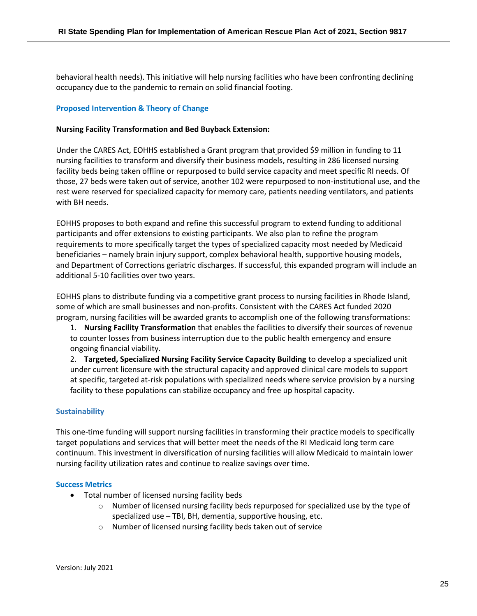behavioral health needs). This initiative will help nursing facilities who have been confronting declining occupancy due to the pandemic to remain on solid financial footing.

#### **Proposed Intervention & Theory of Change**

#### **Nursing Facility Transformation and Bed Buyback Extension:**

Under the CARES Act, EOHHS established a Grant program that provided \$9 million in funding to 11 nursing facilities to transform and diversify their business models, resulting in 286 licensed nursing facility beds being taken offline or repurposed to build service capacity and meet specific RI needs. Of those, 27 beds were taken out of service, another 102 were repurposed to non-institutional use, and the rest were reserved for specialized capacity for memory care, patients needing ventilators, and patients with BH needs.

EOHHS proposes to both expand and refine this successful program to extend funding to additional participants and offer extensions to existing participants. We also plan to refine the program requirements to more specifically target the types of specialized capacity most needed by Medicaid beneficiaries – namely brain injury support, complex behavioral health, supportive housing models, and Department of Corrections geriatric discharges. If successful, this expanded program will include an additional 5-10 facilities over two years.

EOHHS plans to distribute funding via a competitive grant process to nursing facilities in Rhode Island, some of which are small businesses and non-profits. Consistent with the CARES Act funded 2020 program, nursing facilities will be awarded grants to accomplish one of the following transformations:

1. **Nursing Facility Transformation** that enables the facilities to diversify their sources of revenue to counter losses from business interruption due to the public health emergency and ensure ongoing financial viability.

2. **Targeted, Specialized Nursing Facility Service Capacity Building** to develop a specialized unit under current licensure with the structural capacity and approved clinical care models to support at specific, targeted at-risk populations with specialized needs where service provision by a nursing facility to these populations can stabilize occupancy and free up hospital capacity.

#### **Sustainability**

This one-time funding will support nursing facilities in transforming their practice models to specifically target populations and services that will better meet the needs of the RI Medicaid long term care continuum. This investment in diversification of nursing facilities will allow Medicaid to maintain lower nursing facility utilization rates and continue to realize savings over time.

#### **Success Metrics**

- Total number of licensed nursing facility beds
	- $\circ$  Number of licensed nursing facility beds repurposed for specialized use by the type of specialized use – TBI, BH, dementia, supportive housing, etc.
	- o Number of licensed nursing facility beds taken out of service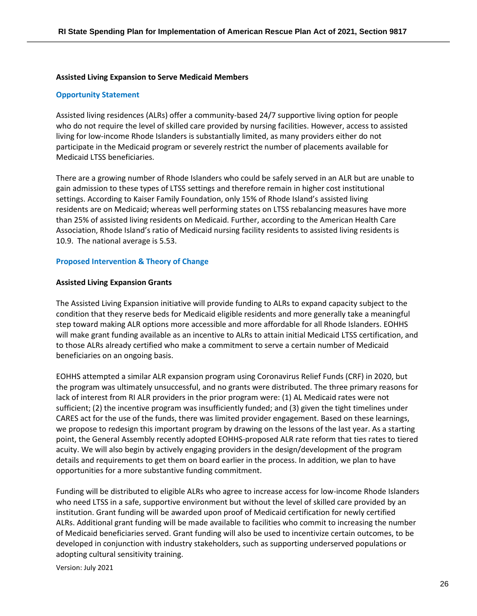#### **Assisted Living Expansion to Serve Medicaid Members**

#### **Opportunity Statement**

Assisted living residences (ALRs) offer a community-based 24/7 supportive living option for people who do not require the level of skilled care provided by nursing facilities. However, access to assisted living for low-income Rhode Islanders is substantially limited, as many providers either do not participate in the Medicaid program or severely restrict the number of placements available for Medicaid LTSS beneficiaries.

There are a growing number of Rhode Islanders who could be safely served in an ALR but are unable to gain admission to these types of LTSS settings and therefore remain in higher cost institutional settings. According to Kaiser Family Foundation, only 15% of Rhode Island's assisted living residents are on Medicaid; whereas well performing states on LTSS rebalancing measures have more than 25% of assisted living residents on Medicaid. Further, according to the American Health Care Association, Rhode Island's ratio of Medicaid nursing facility residents to assisted living residents is 10.9. The national average is 5.53.

#### **Proposed Intervention & Theory of Change**

#### **Assisted Living Expansion Grants**

The Assisted Living Expansion initiative will provide funding to ALRs to expand capacity subject to the condition that they reserve beds for Medicaid eligible residents and more generally take a meaningful step toward making ALR options more accessible and more affordable for all Rhode Islanders. EOHHS will make grant funding available as an incentive to ALRs to attain initial Medicaid LTSS certification, and to those ALRs already certified who make a commitment to serve a certain number of Medicaid beneficiaries on an ongoing basis.

EOHHS attempted a similar ALR expansion program using Coronavirus Relief Funds (CRF) in 2020, but the program was ultimately unsuccessful, and no grants were distributed. The three primary reasons for lack of interest from RI ALR providers in the prior program were: (1) AL Medicaid rates were not sufficient; (2) the incentive program was insufficiently funded; and (3) given the tight timelines under CARES act for the use of the funds, there was limited provider engagement. Based on these learnings, we propose to redesign this important program by drawing on the lessons of the last year. As a starting point, the General Assembly recently adopted EOHHS-proposed ALR rate reform that ties rates to tiered acuity. We will also begin by actively engaging providers in the design/development of the program details and requirements to get them on board earlier in the process. In addition, we plan to have opportunities for a more substantive funding commitment.

Funding will be distributed to eligible ALRs who agree to increase access for low-income Rhode Islanders who need LTSS in a safe, supportive environment but without the level of skilled care provided by an institution. Grant funding will be awarded upon proof of Medicaid certification for newly certified ALRs. Additional grant funding will be made available to facilities who commit to increasing the number of Medicaid beneficiaries served. Grant funding will also be used to incentivize certain outcomes, to be developed in conjunction with industry stakeholders, such as supporting underserved populations or adopting cultural sensitivity training.

Version: July 2021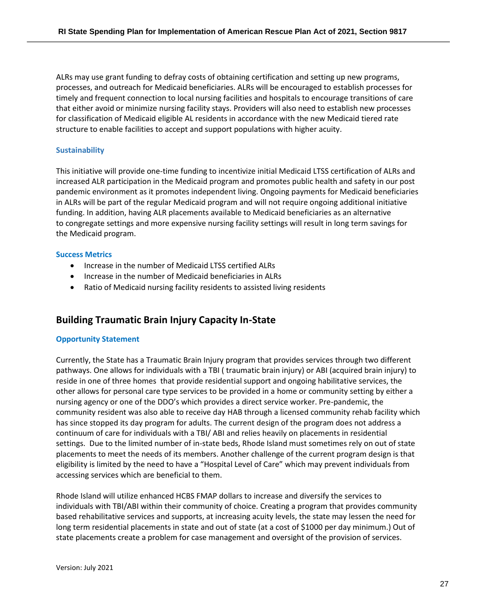ALRs may use grant funding to defray costs of obtaining certification and setting up new programs, processes, and outreach for Medicaid beneficiaries. ALRs will be encouraged to establish processes for timely and frequent connection to local nursing facilities and hospitals to encourage transitions of care that either avoid or minimize nursing facility stays. Providers will also need to establish new processes for classification of Medicaid eligible AL residents in accordance with the new Medicaid tiered rate structure to enable facilities to accept and support populations with higher acuity.

#### **Sustainability**

This initiative will provide one-time funding to incentivize initial Medicaid LTSS certification of ALRs and increased ALR participation in the Medicaid program and promotes public health and safety in our post pandemic environment as it promotes independent living. Ongoing payments for Medicaid beneficiaries in ALRs will be part of the regular Medicaid program and will not require ongoing additional initiative funding. In addition, having ALR placements available to Medicaid beneficiaries as an alternative to congregate settings and more expensive nursing facility settings will result in long term savings for the Medicaid program.

#### **Success Metrics**

- Increase in the number of Medicaid LTSS certified ALRs
- Increase in the number of Medicaid beneficiaries in ALRs
- Ratio of Medicaid nursing facility residents to assisted living residents

## **Building Traumatic Brain Injury Capacity In-State**

#### **Opportunity Statement**

Currently, the State has a Traumatic Brain Injury program that provides services through two different pathways. One allows for individuals with a TBI ( traumatic brain injury) or ABI (acquired brain injury) to reside in one of three homes that provide residential support and ongoing habilitative services, the other allows for personal care type services to be provided in a home or community setting by either a nursing agency or one of the DDO's which provides a direct service worker. Pre-pandemic, the community resident was also able to receive day HAB through a licensed community rehab facility which has since stopped its day program for adults. The current design of the program does not address a continuum of care for individuals with a TBI/ ABI and relies heavily on placements in residential settings. Due to the limited number of in-state beds, Rhode Island must sometimes rely on out of state placements to meet the needs of its members. Another challenge of the current program design is that eligibility is limited by the need to have a "Hospital Level of Care" which may prevent individuals from accessing services which are beneficial to them.

Rhode Island will utilize enhanced HCBS FMAP dollars to increase and diversify the services to individuals with TBI/ABI within their community of choice. Creating a program that provides community based rehabilitative services and supports, at increasing acuity levels, the state may lessen the need for long term residential placements in state and out of state (at a cost of \$1000 per day minimum.) Out of state placements create a problem for case management and oversight of the provision of services.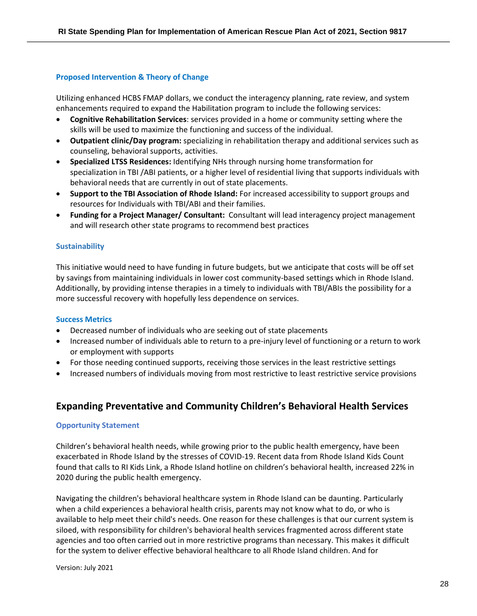#### **Proposed Intervention & Theory of Change**

Utilizing enhanced HCBS FMAP dollars, we conduct the interagency planning, rate review, and system enhancements required to expand the Habilitation program to include the following services:

- **Cognitive Rehabilitation Services**: services provided in a home or community setting where the skills will be used to maximize the functioning and success of the individual.
- **Outpatient clinic/Day program:** specializing in rehabilitation therapy and additional services such as counseling, behavioral supports, activities.
- **Specialized LTSS Residences:** Identifying NHs through nursing home transformation for specialization in TBI /ABI patients, or a higher level of residential living that supports individuals with behavioral needs that are currently in out of state placements.
- **Support to the TBI Association of Rhode Island:** For increased accessibility to support groups and resources for Individuals with TBI/ABI and their families.
- **Funding for a Project Manager/ Consultant:** Consultant will lead interagency project management and will research other state programs to recommend best practices

#### **Sustainability**

This initiative would need to have funding in future budgets, but we anticipate that costs will be off set by savings from maintaining individuals in lower cost community-based settings which in Rhode Island. Additionally, by providing intense therapies in a timely to individuals with TBI/ABIs the possibility for a more successful recovery with hopefully less dependence on services.

#### **Success Metrics**

- Decreased number of individuals who are seeking out of state placements
- Increased number of individuals able to return to a pre-injury level of functioning or a return to work or employment with supports
- For those needing continued supports, receiving those services in the least restrictive settings
- Increased numbers of individuals moving from most restrictive to least restrictive service provisions

## **Expanding Preventative and Community Children's Behavioral Health Services**

#### **Opportunity Statement**

Children's behavioral health needs, while growing prior to the public health emergency, have been exacerbated in Rhode Island by the stresses of COVID-19. Recent data from Rhode Island Kids Count found that calls to RI Kids Link, a Rhode Island hotline on children's behavioral health, increased 22% in 2020 during the public health emergency.

Navigating the children's behavioral healthcare system in Rhode Island can be daunting. Particularly when a child experiences a behavioral health crisis, parents may not know what to do, or who is available to help meet their child's needs. One reason for these challenges is that our current system is siloed, with responsibility for children's behavioral health services fragmented across different state agencies and too often carried out in more restrictive programs than necessary. This makes it difficult for the system to deliver effective behavioral healthcare to all Rhode Island children. And for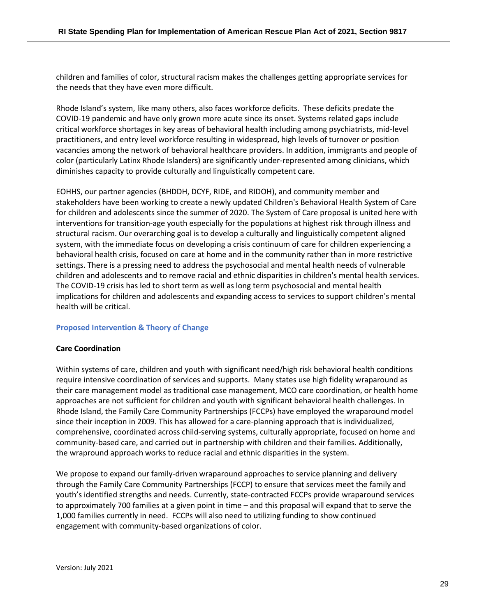children and families of color, structural racism makes the challenges getting appropriate services for the needs that they have even more difficult.

Rhode Island's system, like many others, also faces workforce deficits. These deficits predate the COVID-19 pandemic and have only grown more acute since its onset. Systems related gaps include critical workforce shortages in key areas of behavioral health including among psychiatrists, mid-level practitioners, and entry level workforce resulting in widespread, high levels of turnover or position vacancies among the network of behavioral healthcare providers. In addition, immigrants and people of color (particularly Latinx Rhode Islanders) are significantly under-represented among clinicians, which diminishes capacity to provide culturally and linguistically competent care.

EOHHS, our partner agencies (BHDDH, DCYF, RIDE, and RIDOH), and community member and stakeholders have been working to create a newly updated Children's Behavioral Health System of Care for children and adolescents since the summer of 2020. The System of Care proposal is united here with interventions for transition-age youth especially for the populations at highest risk through illness and structural racism. Our overarching goal is to develop a culturally and linguistically competent aligned system, with the immediate focus on developing a crisis continuum of care for children experiencing a behavioral health crisis, focused on care at home and in the community rather than in more restrictive settings. There is a pressing need to address the psychosocial and mental health needs of vulnerable children and adolescents and to remove racial and ethnic disparities in children's mental health services. The COVID-19 crisis has led to short term as well as long term psychosocial and mental health implications for children and adolescents and expanding access to services to support children's mental health will be critical.

#### **Proposed Intervention & Theory of Change**

#### **Care Coordination**

Within systems of care, children and youth with significant need/high risk behavioral health conditions require intensive coordination of services and supports. Many states use high fidelity wraparound as their care management model as traditional case management, MCO care coordination, or health home approaches are not sufficient for children and youth with significant behavioral health challenges. In Rhode Island, the Family Care Community Partnerships (FCCPs) have employed the wraparound model since their inception in 2009. This has allowed for a care-planning approach that is individualized, comprehensive, coordinated across child-serving systems, culturally appropriate, focused on home and community-based care, and carried out in partnership with children and their families. Additionally, the wrapround approach works to reduce racial and ethnic disparities in the system.

We propose to expand our family-driven wraparound approaches to service planning and delivery through the Family Care Community Partnerships (FCCP) to ensure that services meet the family and youth's identified strengths and needs. Currently, state-contracted FCCPs provide wraparound services to approximately 700 families at a given point in time – and this proposal will expand that to serve the 1,000 families currently in need. FCCPs will also need to utilizing funding to show continued engagement with community-based organizations of color.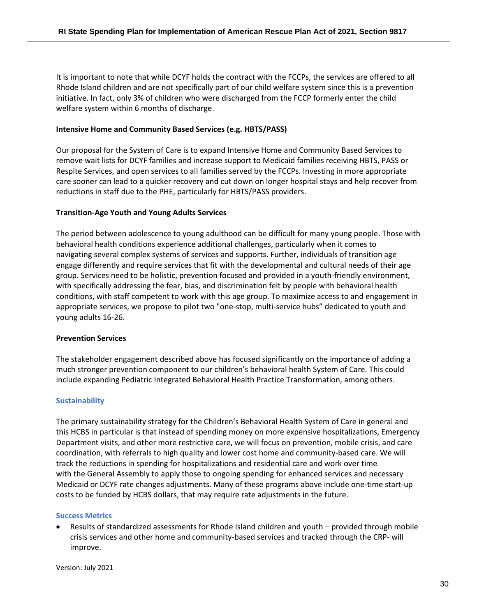It is important to note that while DCYF holds the contract with the FCCPs, the services are offered to all Rhode Island children and are not specifically part of our child welfare system since this is a prevention initiative. In fact, only 3% of children who were discharged from the FCCP formerly enter the child welfare system within 6 months of discharge.

#### **Intensive Home and Community Based Services (e.g. HBTS/PASS)**

Our proposal for the System of Care is to expand Intensive Home and Community Based Services to remove wait lists for DCYF families and increase support to Medicaid families receiving HBTS, PASS or Respite Services, and open services to all families served by the FCCPs. Investing in more appropriate care sooner can lead to a quicker recovery and cut down on longer hospital stays and help recover from reductions in staff due to the PHE, particularly for HBTS/PASS providers.

#### **Transition-Age Youth and Young Adults Services**

The period between adolescence to young adulthood can be difficult for many young people. Those with behavioral health conditions experience additional challenges, particularly when it comes to navigating several complex systems of services and supports. Further, individuals of transition age engage differently and require services that fit with the developmental and cultural needs of their age group. Services need to be holistic, prevention focused and provided in a youth-friendly environment, with specifically addressing the fear, bias, and discrimination felt by people with behavioral health conditions, with staff competent to work with this age group. To maximize access to and engagement in appropriate services, we propose to pilot two "one-stop, multi-service hubs" dedicated to youth and young adults 16-26.

#### **Prevention Services**

The stakeholder engagement described above has focused significantly on the importance of adding a much stronger prevention component to our children's behavioral health System of Care. This could include expanding Pediatric Integrated Behavioral Health Practice Transformation, among others.

#### **Sustainability**

The primary sustainability strategy for the Children's Behavioral Health System of Care in general and this HCBS in particular is that instead of spending money on more expensive hospitalizations, Emergency Department visits, and other more restrictive care, we will focus on prevention, mobile crisis, and care coordination, with referrals to high quality and lower cost home and community-based care. We will track the reductions in spending for hospitalizations and residential care and work over time with the General Assembly to apply those to ongoing spending for enhanced services and necessary Medicaid or DCYF rate changes adjustments. Many of these programs above include one-time start-up costs to be funded by HCBS dollars, that may require rate adjustments in the future.

#### **Success Metrics**

• Results of standardized assessments for Rhode Island children and youth – provided through mobile crisis services and other home and community-based services and tracked through the CRP- will improve.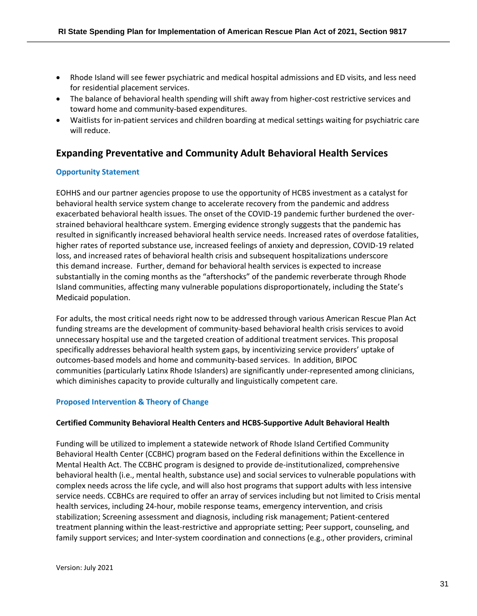- Rhode Island will see fewer psychiatric and medical hospital admissions and ED visits, and less need for residential placement services.
- The balance of behavioral health spending will shift away from higher-cost restrictive services and toward home and community-based expenditures.
- Waitlists for in-patient services and children boarding at medical settings waiting for psychiatric care will reduce.

## **Expanding Preventative and Community Adult Behavioral Health Services**

#### **Opportunity Statement**

EOHHS and our partner agencies propose to use the opportunity of HCBS investment as a catalyst for behavioral health service system change to accelerate recovery from the pandemic and address exacerbated behavioral health issues. The onset of the COVID-19 pandemic further burdened the overstrained behavioral healthcare system. Emerging evidence strongly suggests that the pandemic has resulted in significantly increased behavioral health service needs. Increased rates of overdose fatalities, higher rates of reported substance use, increased feelings of anxiety and depression, COVID-19 related loss, and increased rates of behavioral health crisis and subsequent hospitalizations underscore this demand increase. Further, demand for behavioral health services is expected to increase substantially in the coming months as the "aftershocks" of the pandemic reverberate through Rhode Island communities, affecting many vulnerable populations disproportionately, including the State's Medicaid population.

For adults, the most critical needs right now to be addressed through various American Rescue Plan Act funding streams are the development of community-based behavioral health crisis services to avoid unnecessary hospital use and the targeted creation of additional treatment services. This proposal specifically addresses behavioral health system gaps, by incentivizing service providers' uptake of outcomes-based models and home and community-based services. In addition, BIPOC communities (particularly Latinx Rhode Islanders) are significantly under-represented among clinicians, which diminishes capacity to provide culturally and linguistically competent care.

#### **Proposed Intervention & Theory of Change**

#### **Certified Community Behavioral Health Centers and HCBS-Supportive Adult Behavioral Health**

Funding will be utilized to implement a statewide network of Rhode Island Certified Community Behavioral Health Center (CCBHC) program based on the Federal definitions within the Excellence in Mental Health Act. The CCBHC program is designed to provide de-institutionalized, comprehensive behavioral health (i.e., mental health, substance use) and social services to vulnerable populations with complex needs across the life cycle, and will also host programs that support adults with less intensive service needs. CCBHCs are required to offer an array of services including but not limited to Crisis mental health services, including 24-hour, mobile response teams, emergency intervention, and crisis stabilization; Screening assessment and diagnosis, including risk management; Patient-centered treatment planning within the least-restrictive and appropriate setting; Peer support, counseling, and family support services; and Inter-system coordination and connections (e.g., other providers, criminal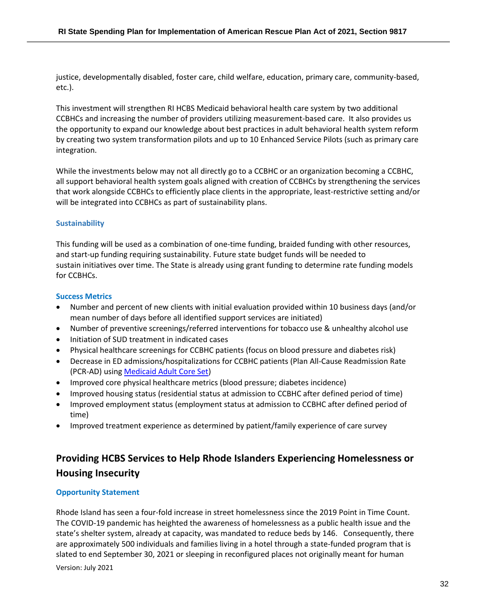justice, developmentally disabled, foster care, child welfare, education, primary care, community-based, etc.).

This investment will strengthen RI HCBS Medicaid behavioral health care system by two additional CCBHCs and increasing the number of providers utilizing measurement-based care. It also provides us the opportunity to expand our knowledge about best practices in adult behavioral health system reform by creating two system transformation pilots and up to 10 Enhanced Service Pilots (such as primary care integration.

While the investments below may not all directly go to a CCBHC or an organization becoming a CCBHC, all support behavioral health system goals aligned with creation of CCBHCs by strengthening the services that work alongside CCBHCs to efficiently place clients in the appropriate, least-restrictive setting and/or will be integrated into CCBHCs as part of sustainability plans.

#### **Sustainability**

This funding will be used as a combination of one-time funding, braided funding with other resources, and start-up funding requiring sustainability. Future state budget funds will be needed to sustain initiatives over time. The State is already using grant funding to determine rate funding models for CCBHCs.

#### **Success Metrics**

- Number and percent of new clients with initial evaluation provided within 10 business days (and/or mean number of days before all identified support services are initiated)
- Number of preventive screenings/referred interventions for tobacco use & unhealthy alcohol use
- Initiation of SUD treatment in indicated cases
- Physical healthcare screenings for CCBHC patients (focus on blood pressure and diabetes risk)
- Decrease in ED admissions/hospitalizations for CCBHC patients (Plan All-Cause Readmission Rate (PCR-AD) using Medicaid Adult Core Set)
- Improved core physical healthcare metrics (blood pressure; diabetes incidence)
- Improved housing status (residential status at admission to CCBHC after defined period of time)
- Improved employment status (employment status at admission to CCBHC after defined period of time)
- Improved treatment experience as determined by patient/family experience of care survey

## **Providing HCBS Services to Help Rhode Islanders Experiencing Homelessness or Housing Insecurity**

#### **Opportunity Statement**

Rhode Island has seen a four-fold increase in street homelessness since the 2019 Point in Time Count. The COVID-19 pandemic has heighted the awareness of homelessness as a public health issue and the state's shelter system, already at capacity, was mandated to reduce beds by 146. Consequently, there are approximately 500 individuals and families living in a hotel through a state-funded program that is slated to end September 30, 2021 or sleeping in reconfigured places not originally meant for human

Version: July 2021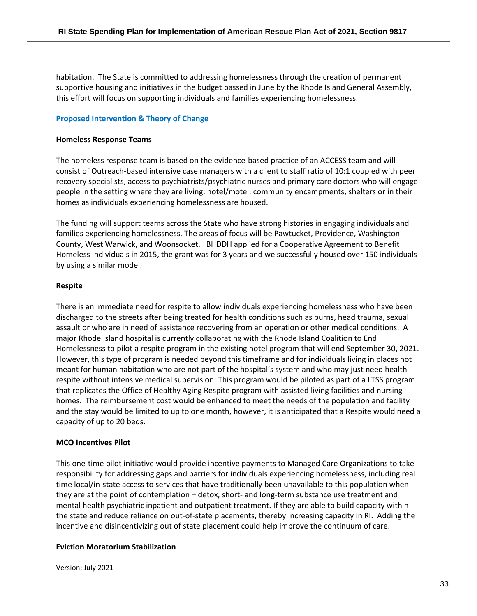habitation. The State is committed to addressing homelessness through the creation of permanent supportive housing and initiatives in the budget passed in June by the Rhode Island General Assembly, this effort will focus on supporting individuals and families experiencing homelessness.

#### **Proposed Intervention & Theory of Change**

#### **Homeless Response Teams**

The homeless response team is based on the evidence-based practice of an ACCESS team and will consist of Outreach-based intensive case managers with a client to staff ratio of 10:1 coupled with peer recovery specialists, access to psychiatrists/psychiatric nurses and primary care doctors who will engage people in the setting where they are living: hotel/motel, community encampments, shelters or in their homes as individuals experiencing homelessness are housed.

The funding will support teams across the State who have strong histories in engaging individuals and families experiencing homelessness. The areas of focus will be Pawtucket, Providence, Washington County, West Warwick, and Woonsocket. BHDDH applied for a Cooperative Agreement to Benefit Homeless Individuals in 2015, the grant was for 3 years and we successfully housed over 150 individuals by using a similar model.

#### **Respite**

There is an immediate need for respite to allow individuals experiencing homelessness who have been discharged to the streets after being treated for health conditions such as burns, head trauma, sexual assault or who are in need of assistance recovering from an operation or other medical conditions. A major Rhode Island hospital is currently collaborating with the Rhode Island Coalition to End Homelessness to pilot a respite program in the existing hotel program that will end September 30, 2021. However, this type of program is needed beyond this timeframe and for individuals living in places not meant for human habitation who are not part of the hospital's system and who may just need health respite without intensive medical supervision. This program would be piloted as part of a LTSS program that replicates the Office of Healthy Aging Respite program with assisted living facilities and nursing homes. The reimbursement cost would be enhanced to meet the needs of the population and facility and the stay would be limited to up to one month, however, it is anticipated that a Respite would need a capacity of up to 20 beds.

#### **MCO Incentives Pilot**

This one-time pilot initiative would provide incentive payments to Managed Care Organizations to take responsibility for addressing gaps and barriers for individuals experiencing homelessness, including real time local/in-state access to services that have traditionally been unavailable to this population when they are at the point of contemplation – detox, short- and long-term substance use treatment and mental health psychiatric inpatient and outpatient treatment. If they are able to build capacity within the state and reduce reliance on out-of-state placements, thereby increasing capacity in RI. Adding the incentive and disincentivizing out of state placement could help improve the continuum of care.

#### **Eviction Moratorium Stabilization**

Version: July 2021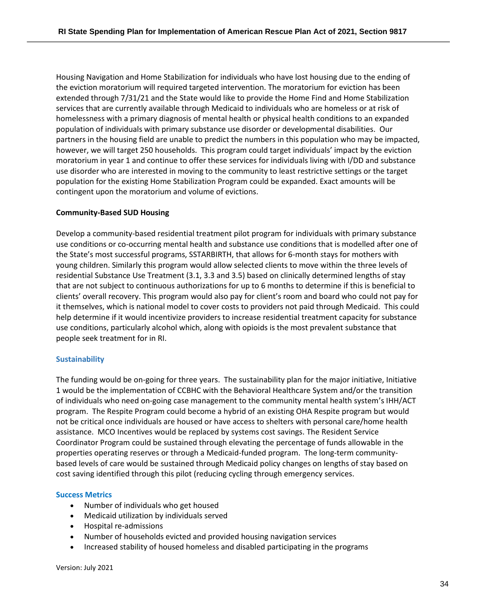Housing Navigation and Home Stabilization for individuals who have lost housing due to the ending of the eviction moratorium will required targeted intervention. The moratorium for eviction has been extended through 7/31/21 and the State would like to provide the Home Find and Home Stabilization services that are currently available through Medicaid to individuals who are homeless or at risk of homelessness with a primary diagnosis of mental health or physical health conditions to an expanded population of individuals with primary substance use disorder or developmental disabilities. Our partners in the housing field are unable to predict the numbers in this population who may be impacted, however, we will target 250 households. This program could target individuals' impact by the eviction moratorium in year 1 and continue to offer these services for individuals living with I/DD and substance use disorder who are interested in moving to the community to least restrictive settings or the target population for the existing Home Stabilization Program could be expanded. Exact amounts will be contingent upon the moratorium and volume of evictions.

#### **Community-Based SUD Housing**

Develop a community-based residential treatment pilot program for individuals with primary substance use conditions or co-occurring mental health and substance use conditions that is modelled after one of the State's most successful programs, SSTARBIRTH, that allows for 6-month stays for mothers with young children. Similarly this program would allow selected clients to move within the three levels of residential Substance Use Treatment (3.1, 3.3 and 3.5) based on clinically determined lengths of stay that are not subject to continuous authorizations for up to 6 months to determine if this is beneficial to clients' overall recovery. This program would also pay for client's room and board who could not pay for it themselves, which is national model to cover costs to providers not paid through Medicaid.  This could help determine if it would incentivize providers to increase residential treatment capacity for substance use conditions, particularly alcohol which, along with opioids is the most prevalent substance that people seek treatment for in RI.

#### **Sustainability**

The funding would be on-going for three years. The sustainability plan for the major initiative, Initiative 1 would be the implementation of CCBHC with the Behavioral Healthcare System and/or the transition of individuals who need on-going case management to the community mental health system's IHH/ACT program. The Respite Program could become a hybrid of an existing OHA Respite program but would not be critical once individuals are housed or have access to shelters with personal care/home health assistance. MCO Incentives would be replaced by systems cost savings. The Resident Service Coordinator Program could be sustained through elevating the percentage of funds allowable in the properties operating reserves or through a Medicaid-funded program. The long-term communitybased levels of care would be sustained through Medicaid policy changes on lengths of stay based on cost saving identified through this pilot (reducing cycling through emergency services.

#### **Success Metrics**

- Number of individuals who get housed
- Medicaid utilization by individuals served
- Hospital re-admissions
- Number of households evicted and provided housing navigation services
- Increased stability of housed homeless and disabled participating in the programs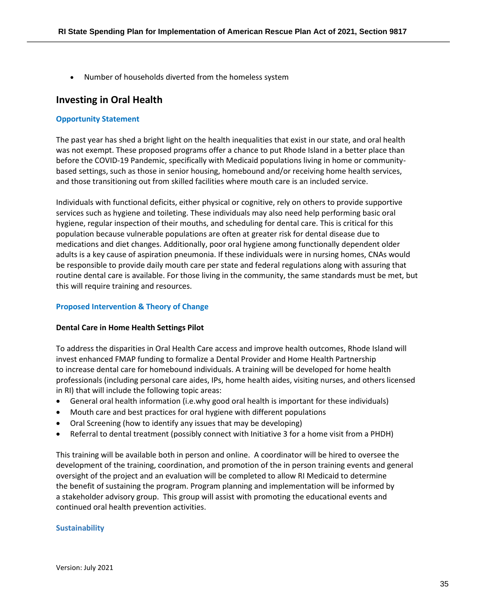• Number of households diverted from the homeless system

### **Investing in Oral Health**

#### **Opportunity Statement**

The past year has shed a bright light on the health inequalities that exist in our state, and oral health was not exempt. These proposed programs offer a chance to put Rhode Island in a better place than before the COVID-19 Pandemic, specifically with Medicaid populations living in home or communitybased settings, such as those in senior housing, homebound and/or receiving home health services, and those transitioning out from skilled facilities where mouth care is an included service.

Individuals with functional deficits, either physical or cognitive, rely on others to provide supportive services such as hygiene and toileting. These individuals may also need help performing basic oral hygiene, regular inspection of their mouths, and scheduling for dental care. This is critical for this population because vulnerable populations are often at greater risk for dental disease due to medications and diet changes. Additionally, poor oral hygiene among functionally dependent older adults is a key cause of aspiration pneumonia. If these individuals were in nursing homes, CNAs would be responsible to provide daily mouth care per state and federal regulations along with assuring that routine dental care is available. For those living in the community, the same standards must be met, but this will require training and resources.

#### **Proposed Intervention & Theory of Change**

#### **Dental Care in Home Health Settings Pilot**

To address the disparities in Oral Health Care access and improve health outcomes, Rhode Island will invest enhanced FMAP funding to formalize a Dental Provider and Home Health Partnership to increase dental care for homebound individuals. A training will be developed for home health professionals (including personal care aides, IPs, home health aides, visiting nurses, and others licensed in RI) that will include the following topic areas:

- General oral health information (i.e.why good oral health is important for these individuals)
- Mouth care and best practices for oral hygiene with different populations
- Oral Screening (how to identify any issues that may be developing)
- Referral to dental treatment (possibly connect with Initiative 3 for a home visit from a PHDH)

This training will be available both in person and online. A coordinator will be hired to oversee the development of the training, coordination, and promotion of the in person training events and general oversight of the project and an evaluation will be completed to allow RI Medicaid to determine the benefit of sustaining the program. Program planning and implementation will be informed by a stakeholder advisory group. This group will assist with promoting the educational events and continued oral health prevention activities.

#### **Sustainability**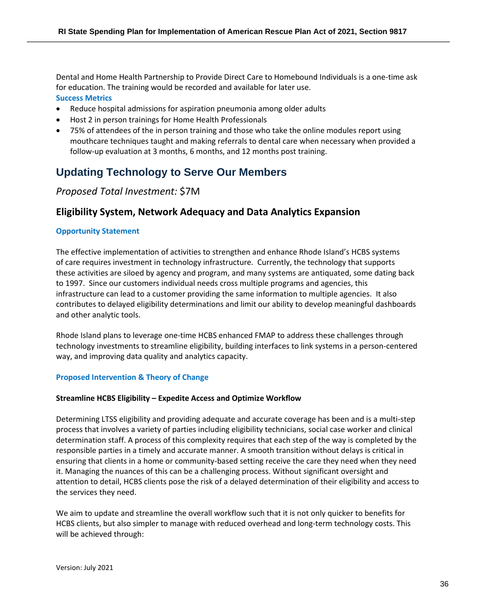Dental and Home Health Partnership to Provide Direct Care to Homebound Individuals is a one-time ask for education. The training would be recorded and available for later use. **Success Metrics**

- Reduce hospital admissions for aspiration pneumonia among older adults
- Host 2 in person trainings for Home Health Professionals
- 75% of attendees of the in person training and those who take the online modules report using mouthcare techniques taught and making referrals to dental care when necessary when provided a follow-up evaluation at 3 months, 6 months, and 12 months post training.

## **Updating Technology to Serve Our Members**

## *Proposed Total Investment:* \$7M

## **Eligibility System, Network Adequacy and Data Analytics Expansion**

#### **Opportunity Statement**

The effective implementation of activities to strengthen and enhance Rhode Island's HCBS systems of care requires investment in technology infrastructure. Currently, the technology that supports these activities are siloed by agency and program, and many systems are antiquated, some dating back to 1997. Since our customers individual needs cross multiple programs and agencies, this infrastructure can lead to a customer providing the same information to multiple agencies. It also contributes to delayed eligibility determinations and limit our ability to develop meaningful dashboards and other analytic tools.

Rhode Island plans to leverage one-time HCBS enhanced FMAP to address these challenges through technology investments to streamline eligibility, building interfaces to link systems in a person-centered way, and improving data quality and analytics capacity.

#### **Proposed Intervention & Theory of Change**

#### **Streamline HCBS Eligibility – Expedite Access and Optimize Workflow**

Determining LTSS eligibility and providing adequate and accurate coverage has been and is a multi-step process that involves a variety of parties including eligibility technicians, social case worker and clinical determination staff. A process of this complexity requires that each step of the way is completed by the responsible parties in a timely and accurate manner. A smooth transition without delays is critical in ensuring that clients in a home or community-based setting receive the care they need when they need it. Managing the nuances of this can be a challenging process. Without significant oversight and attention to detail, HCBS clients pose the risk of a delayed determination of their eligibility and access to the services they need.

We aim to update and streamline the overall workflow such that it is not only quicker to benefits for HCBS clients, but also simpler to manage with reduced overhead and long-term technology costs. This will be achieved through: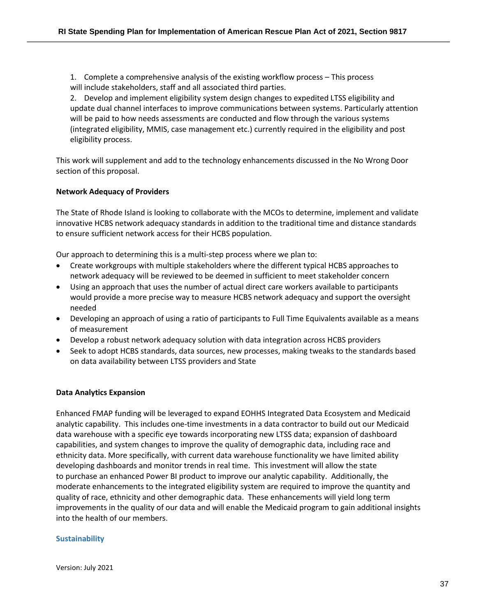1. Complete a comprehensive analysis of the existing workflow process – This process will include stakeholders, staff and all associated third parties.

2. Develop and implement eligibility system design changes to expedited LTSS eligibility and update dual channel interfaces to improve communications between systems. Particularly attention will be paid to how needs assessments are conducted and flow through the various systems (integrated eligibility, MMIS, case management etc.) currently required in the eligibility and post eligibility process.

This work will supplement and add to the technology enhancements discussed in the No Wrong Door section of this proposal.

#### **Network Adequacy of Providers**

The State of Rhode Island is looking to collaborate with the MCOs to determine, implement and validate innovative HCBS network adequacy standards in addition to the traditional time and distance standards to ensure sufficient network access for their HCBS population.

Our approach to determining this is a multi-step process where we plan to:

- Create workgroups with multiple stakeholders where the different typical HCBS approaches to network adequacy will be reviewed to be deemed in sufficient to meet stakeholder concern
- Using an approach that uses the number of actual direct care workers available to participants would provide a more precise way to measure HCBS network adequacy and support the oversight needed
- Developing an approach of using a ratio of participants to Full Time Equivalents available as a means of measurement
- Develop a robust network adequacy solution with data integration across HCBS providers
- Seek to adopt HCBS standards, data sources, new processes, making tweaks to the standards based on data availability between LTSS providers and State

#### **Data Analytics Expansion**

Enhanced FMAP funding will be leveraged to expand EOHHS Integrated Data Ecosystem and Medicaid analytic capability. This includes one-time investments in a data contractor to build out our Medicaid data warehouse with a specific eye towards incorporating new LTSS data; expansion of dashboard capabilities, and system changes to improve the quality of demographic data, including race and ethnicity data. More specifically, with current data warehouse functionality we have limited ability developing dashboards and monitor trends in real time. This investment will allow the state to purchase an enhanced Power BI product to improve our analytic capability. Additionally, the moderate enhancements to the integrated eligibility system are required to improve the quantity and quality of race, ethnicity and other demographic data. These enhancements will yield long term improvements in the quality of our data and will enable the Medicaid program to gain additional insights into the health of our members.

#### **Sustainability**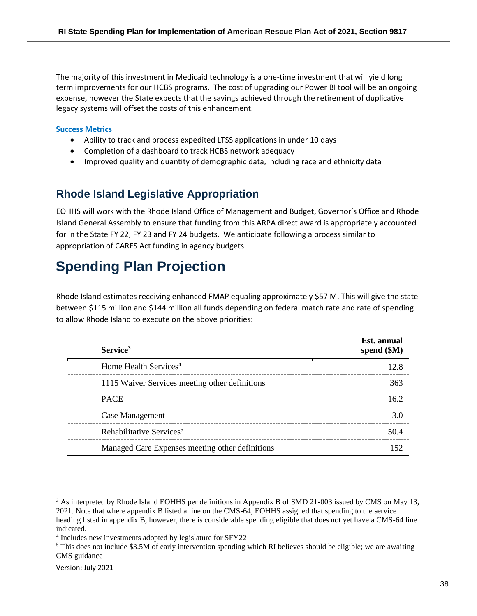The majority of this investment in Medicaid technology is a one-time investment that will yield long term improvements for our HCBS programs. The cost of upgrading our Power BI tool will be an ongoing expense, however the State expects that the savings achieved through the retirement of duplicative legacy systems will offset the costs of this enhancement.

#### **Success Metrics**

- Ability to track and process expedited LTSS applications in under 10 days
- Completion of a dashboard to track HCBS network adequacy
- Improved quality and quantity of demographic data, including race and ethnicity data

## **Rhode Island Legislative Appropriation**

EOHHS will work with the Rhode Island Office of Management and Budget, Governor's Office and Rhode Island General Assembly to ensure that funding from this ARPA direct award is appropriately accounted for in the State FY 22, FY 23 and FY 24 budgets. We anticipate following a process similar to appropriation of CARES Act funding in agency budgets.

# **Spending Plan Projection**

Rhode Island estimates receiving enhanced FMAP equaling approximately \$57 M. This will give the state between \$115 million and \$144 million all funds depending on federal match rate and rate of spending to allow Rhode Island to execute on the above priorities:

| Service <sup>3</sup>                            | Est. annual<br>spend $(\$M)$ |
|-------------------------------------------------|------------------------------|
| Home Health Services <sup>4</sup>               | 12.8                         |
| 1115 Waiver Services meeting other definitions  | 363                          |
| <b>PACE</b>                                     | 162                          |
| Case Management                                 | 3.0                          |
| Rehabilitative Services <sup>5</sup>            | 50.4                         |
| Managed Care Expenses meeting other definitions | 152                          |

<sup>&</sup>lt;sup>3</sup> As interpreted by Rhode Island EOHHS per definitions in Appendix B of SMD 21-003 issued by CMS on May 13, 2021. Note that where appendix B listed a line on the CMS-64, EOHHS assigned that spending to the service heading listed in appendix B, however, there is considerable spending eligible that does not yet have a CMS-64 line indicated.

<sup>4</sup> Includes new investments adopted by legislature for SFY22

<sup>&</sup>lt;sup>5</sup> This does not include \$3.5M of early intervention spending which RI believes should be eligible; we are awaiting CMS guidance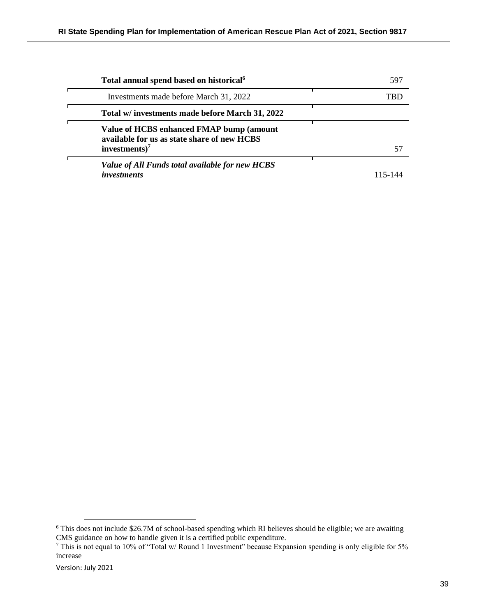| Total annual spend based on historical <sup>6</sup>                                                         | 597 |
|-------------------------------------------------------------------------------------------------------------|-----|
| Investments made before March 31, 2022                                                                      |     |
| Total w/ investments made before March 31, 2022                                                             |     |
| Value of HCBS enhanced FMAP bump (amount<br>available for us as state share of new HCBS<br>investments) $7$ | 57  |
| Value of All Funds total available for new HCBS                                                             |     |
| <i>investments</i>                                                                                          |     |

<sup>6</sup> This does not include \$26.7M of school-based spending which RI believes should be eligible; we are awaiting CMS guidance on how to handle given it is a certified public expenditure.

<sup>&</sup>lt;sup>7</sup> This is not equal to 10% of "Total w/ Round 1 Investment" because Expansion spending is only eligible for 5% increase